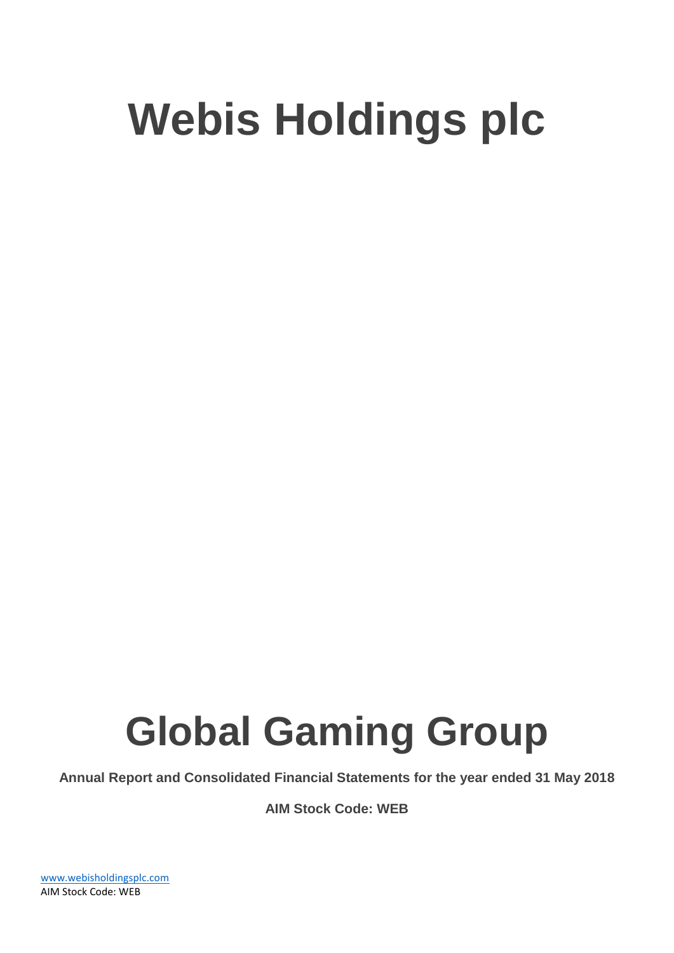# **Global Gaming Group**

**Annual Report and Consolidated Financial Statements for the year ended 31 May 2018**

**AIM Stock Code: WEB**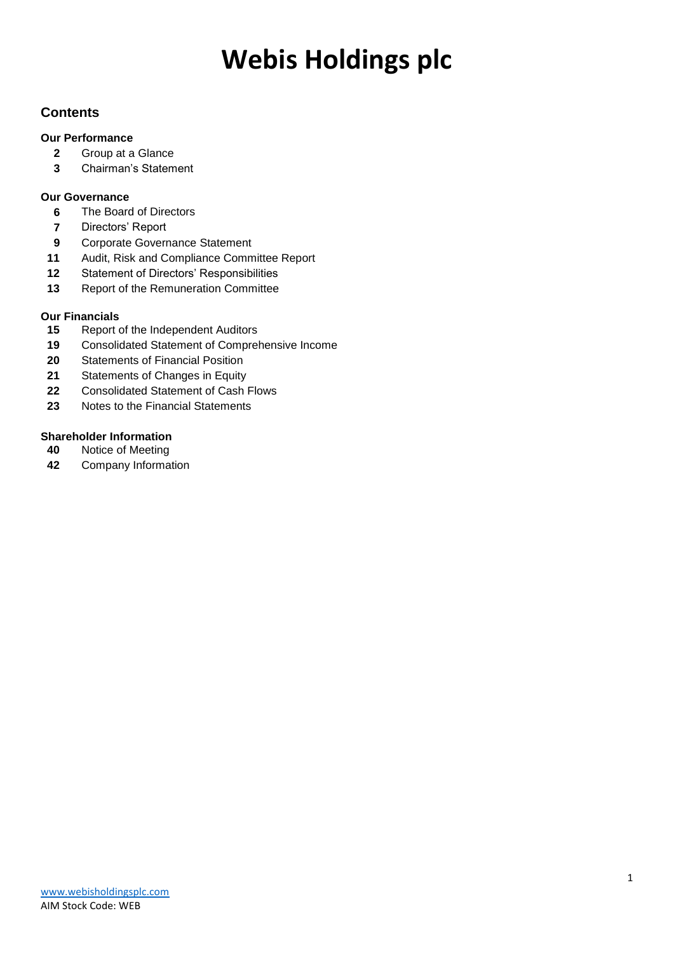### **Contents**

### **Our Performance**

- Group at a Glance
- Chairman's Statement

### **Our Governance**

- The Board of Directors
- Directors' Report
- Corporate Governance Statement
- Audit, Risk and Compliance Committee Report
- Statement of Directors' Responsibilities
- Report of the Remuneration Committee

### **Our Financials**

- Report of the Independent Auditors
- Consolidated Statement of Comprehensive Income
- Statements of Financial Position
- Statements of Changes in Equity
- Consolidated Statement of Cash Flows
- Notes to the Financial Statements

### **Shareholder Information**<br>**40** Notice of Meeting

- Notice of Meeting
- Company Information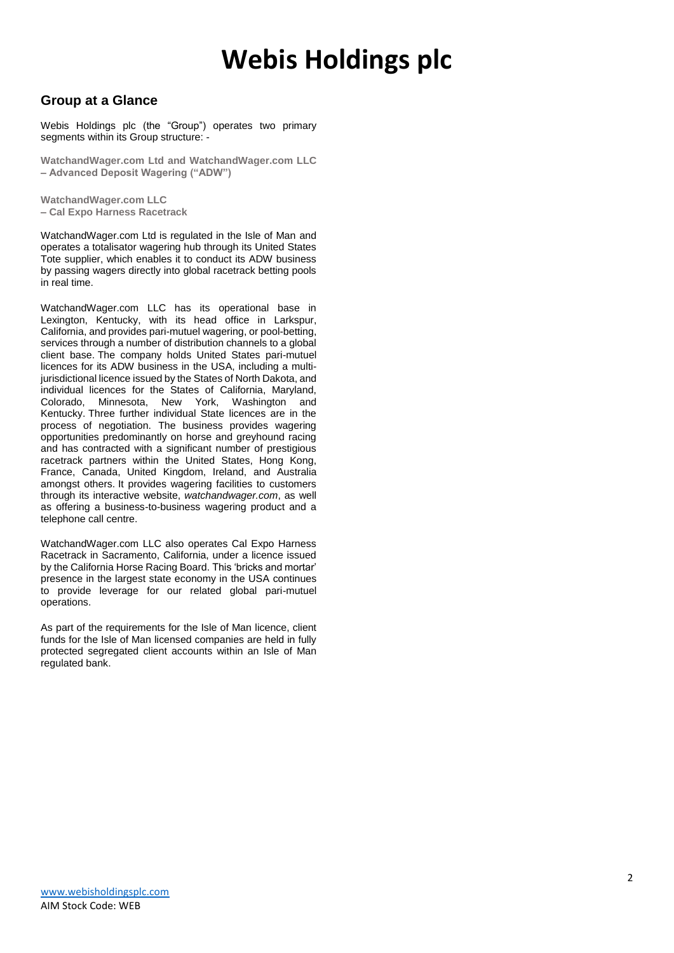### **Group at a Glance**

Webis Holdings plc (the "Group") operates two primary segments within its Group structure: -

**WatchandWager.com Ltd and WatchandWager.com LLC – Advanced Deposit Wagering ("ADW")**

**WatchandWager.com LLC – Cal Expo Harness Racetrack**

WatchandWager.com Ltd is regulated in the Isle of Man and operates a totalisator wagering hub through its United States Tote supplier, which enables it to conduct its ADW business by passing wagers directly into global racetrack betting pools in real time.

WatchandWager.com LLC has its operational base in Lexington, Kentucky, with its head office in Larkspur, California, and provides pari-mutuel wagering, or pool-betting, services through a number of distribution channels to a global client base. The company holds United States pari-mutuel licences for its ADW business in the USA, including a multijurisdictional licence issued by the States of North Dakota, and individual licences for the States of California, Maryland, Colorado, Minnesota, New York, Washington and Kentucky. Three further individual State licences are in the process of negotiation. The business provides wagering opportunities predominantly on horse and greyhound racing and has contracted with a significant number of prestigious racetrack partners within the United States, Hong Kong, France, Canada, United Kingdom, Ireland, and Australia amongst others. It provides wagering facilities to customers through its interactive website, *watchandwager.com*, as well as offering a business-to-business wagering product and a telephone call centre.

WatchandWager.com LLC also operates Cal Expo Harness Racetrack in Sacramento, California, under a licence issued by the California Horse Racing Board. This 'bricks and mortar' presence in the largest state economy in the USA continues to provide leverage for our related global pari-mutuel operations.

As part of the requirements for the Isle of Man licence, client funds for the Isle of Man licensed companies are held in fully protected segregated client accounts within an Isle of Man regulated bank.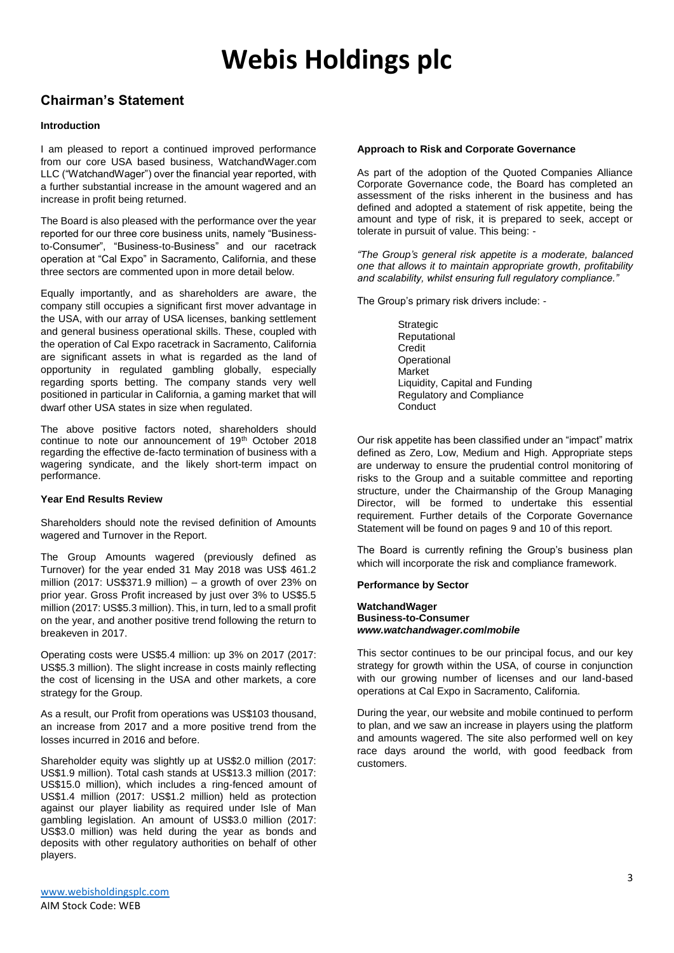### **Chairman's Statement**

#### **Introduction**

I am pleased to report a continued improved performance from our core USA based business, WatchandWager.com LLC ("WatchandWager") over the financial year reported, with a further substantial increase in the amount wagered and an increase in profit being returned.

The Board is also pleased with the performance over the year reported for our three core business units, namely "Businessto-Consumer", "Business-to-Business" and our racetrack operation at "Cal Expo" in Sacramento, California, and these three sectors are commented upon in more detail below.

Equally importantly, and as shareholders are aware, the company still occupies a significant first mover advantage in the USA, with our array of USA licenses, banking settlement and general business operational skills. These, coupled with the operation of Cal Expo racetrack in Sacramento, California are significant assets in what is regarded as the land of opportunity in regulated gambling globally, especially regarding sports betting. The company stands very well positioned in particular in California, a gaming market that will dwarf other USA states in size when regulated.

The above positive factors noted, shareholders should continue to note our announcement of 19<sup>th</sup> October 2018 regarding the effective de-facto termination of business with a wagering syndicate, and the likely short-term impact on performance.

#### **Year End Results Review**

Shareholders should note the revised definition of Amounts wagered and Turnover in the Report.

The Group Amounts wagered (previously defined as Turnover) for the year ended 31 May 2018 was US\$ 461.2 million (2017: US\$371.9 million) – a growth of over 23% on prior year. Gross Profit increased by just over 3% to US\$5.5 million (2017: US\$5.3 million). This, in turn, led to a small profit on the year, and another positive trend following the return to breakeven in 2017.

Operating costs were US\$5.4 million: up 3% on 2017 (2017: US\$5.3 million). The slight increase in costs mainly reflecting the cost of licensing in the USA and other markets, a core strategy for the Group.

As a result, our Profit from operations was US\$103 thousand, an increase from 2017 and a more positive trend from the losses incurred in 2016 and before.

Shareholder equity was slightly up at US\$2.0 million (2017: US\$1.9 million). Total cash stands at US\$13.3 million (2017: US\$15.0 million), which includes a ring-fenced amount of US\$1.4 million (2017: US\$1.2 million) held as protection against our player liability as required under Isle of Man gambling legislation. An amount of US\$3.0 million (2017: US\$3.0 million) was held during the year as bonds and deposits with other regulatory authorities on behalf of other players.

As part of the adoption of the Quoted Companies Alliance Corporate Governance code, the Board has completed an assessment of the risks inherent in the business and has defined and adopted a statement of risk appetite, being the amount and type of risk, it is prepared to seek, accept or tolerate in pursuit of value. This being: -

*"The Group's general risk appetite is a moderate, balanced one that allows it to maintain appropriate growth, profitability and scalability, whilst ensuring full regulatory compliance."*

The Group's primary risk drivers include: -

Strategic Reputational Credit **Operational Market** Liquidity, Capital and Funding Regulatory and Compliance **Conduct** 

Our risk appetite has been classified under an "impact" matrix defined as Zero, Low, Medium and High. Appropriate steps are underway to ensure the prudential control monitoring of risks to the Group and a suitable committee and reporting structure, under the Chairmanship of the Group Managing Director, will be formed to undertake this essential requirement. Further details of the Corporate Governance Statement will be found on pages 9 and 10 of this report.

The Board is currently refining the Group's business plan which will incorporate the risk and compliance framework.

#### **Performance by Sector**

**WatchandWager Business-to-Consumer** *www.watchandwager.com***/***mobile*

This sector continues to be our principal focus, and our key strategy for growth within the USA, of course in conjunction with our growing number of licenses and our land-based operations at Cal Expo in Sacramento, California.

During the year, our website and mobile continued to perform to plan, and we saw an increase in players using the platform and amounts wagered. The site also performed well on key race days around the world, with good feedback from customers.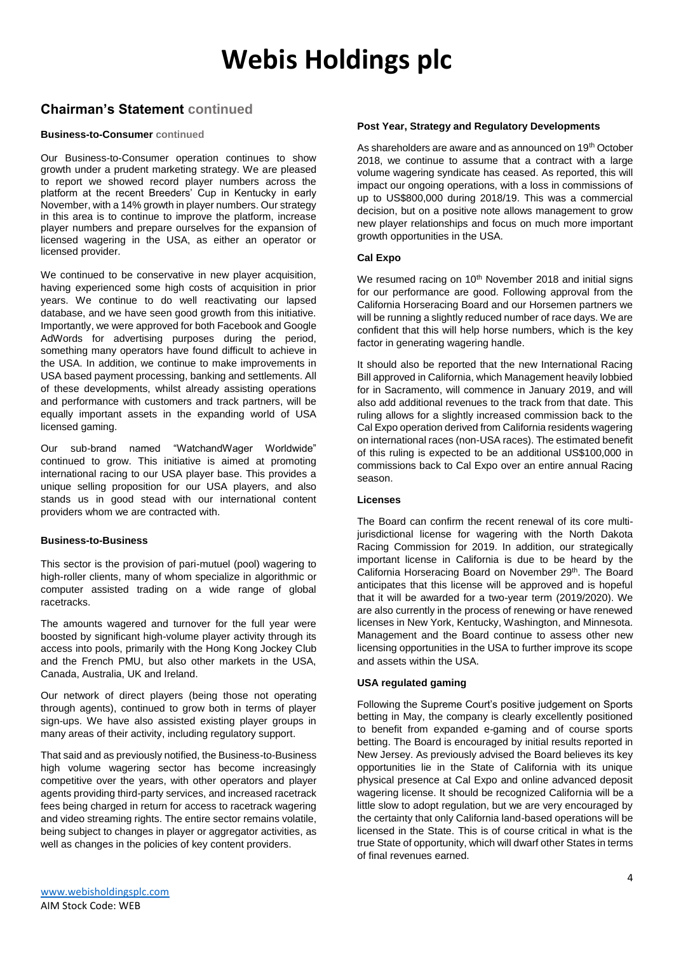### **Chairman's Statement continued**

#### **Business-to-Consumer continued**

Our Business-to-Consumer operation continues to show growth under a prudent marketing strategy. We are pleased to report we showed record player numbers across the platform at the recent Breeders' Cup in Kentucky in early November, with a 14% growth in player numbers. Our strategy in this area is to continue to improve the platform, increase player numbers and prepare ourselves for the expansion of licensed wagering in the USA, as either an operator or licensed provider.

We continued to be conservative in new player acquisition, having experienced some high costs of acquisition in prior years. We continue to do well reactivating our lapsed database, and we have seen good growth from this initiative. Importantly, we were approved for both Facebook and Google AdWords for advertising purposes during the period, something many operators have found difficult to achieve in the USA. In addition, we continue to make improvements in USA based payment processing, banking and settlements. All of these developments, whilst already assisting operations and performance with customers and track partners, will be equally important assets in the expanding world of USA licensed gaming.

Our sub-brand named "WatchandWager Worldwide" continued to grow. This initiative is aimed at promoting international racing to our USA player base. This provides a unique selling proposition for our USA players, and also stands us in good stead with our international content providers whom we are contracted with.

#### **Business-to-Business**

This sector is the provision of pari-mutuel (pool) wagering to high-roller clients, many of whom specialize in algorithmic or computer assisted trading on a wide range of global racetracks.

The amounts wagered and turnover for the full year were boosted by significant high-volume player activity through its access into pools, primarily with the Hong Kong Jockey Club and the French PMU, but also other markets in the USA, Canada, Australia, UK and Ireland.

Our network of direct players (being those not operating through agents), continued to grow both in terms of player sign-ups. We have also assisted existing player groups in many areas of their activity, including regulatory support.

That said and as previously notified, the Business-to-Business high volume wagering sector has become increasingly competitive over the years, with other operators and player agents providing third-party services, and increased racetrack fees being charged in return for access to racetrack wagering and video streaming rights. The entire sector remains volatile, being subject to changes in player or aggregator activities, as well as changes in the policies of key content providers.

#### **Post Year, Strategy and Regulatory Developments**

As shareholders are aware and as announced on 19<sup>th</sup> October 2018, we continue to assume that a contract with a large volume wagering syndicate has ceased. As reported, this will impact our ongoing operations, with a loss in commissions of up to US\$800,000 during 2018/19. This was a commercial decision, but on a positive note allows management to grow new player relationships and focus on much more important growth opportunities in the USA.

#### **Cal Expo**

We resumed racing on 10<sup>th</sup> November 2018 and initial signs for our performance are good. Following approval from the California Horseracing Board and our Horsemen partners we will be running a slightly reduced number of race days. We are confident that this will help horse numbers, which is the key factor in generating wagering handle.

It should also be reported that the new International Racing Bill approved in California, which Management heavily lobbied for in Sacramento, will commence in January 2019, and will also add additional revenues to the track from that date. This ruling allows for a slightly increased commission back to the Cal Expo operation derived from California residents wagering on international races (non-USA races). The estimated benefit of this ruling is expected to be an additional US\$100,000 in commissions back to Cal Expo over an entire annual Racing season.

#### **Licenses**

The Board can confirm the recent renewal of its core multijurisdictional license for wagering with the North Dakota Racing Commission for 2019. In addition, our strategically important license in California is due to be heard by the California Horseracing Board on November 29th. The Board anticipates that this license will be approved and is hopeful that it will be awarded for a two-year term (2019/2020). We are also currently in the process of renewing or have renewed licenses in New York, Kentucky, Washington, and Minnesota. Management and the Board continue to assess other new licensing opportunities in the USA to further improve its scope and assets within the USA.

#### **USA regulated gaming**

Following the Supreme Court's positive judgement on Sports betting in May, the company is clearly excellently positioned to benefit from expanded e-gaming and of course sports betting. The Board is encouraged by initial results reported in New Jersey. As previously advised the Board believes its key opportunities lie in the State of California with its unique physical presence at Cal Expo and online advanced deposit wagering license. It should be recognized California will be a little slow to adopt regulation, but we are very encouraged by the certainty that only California land-based operations will be licensed in the State. This is of course critical in what is the true State of opportunity, which will dwarf other States in terms of final revenues earned.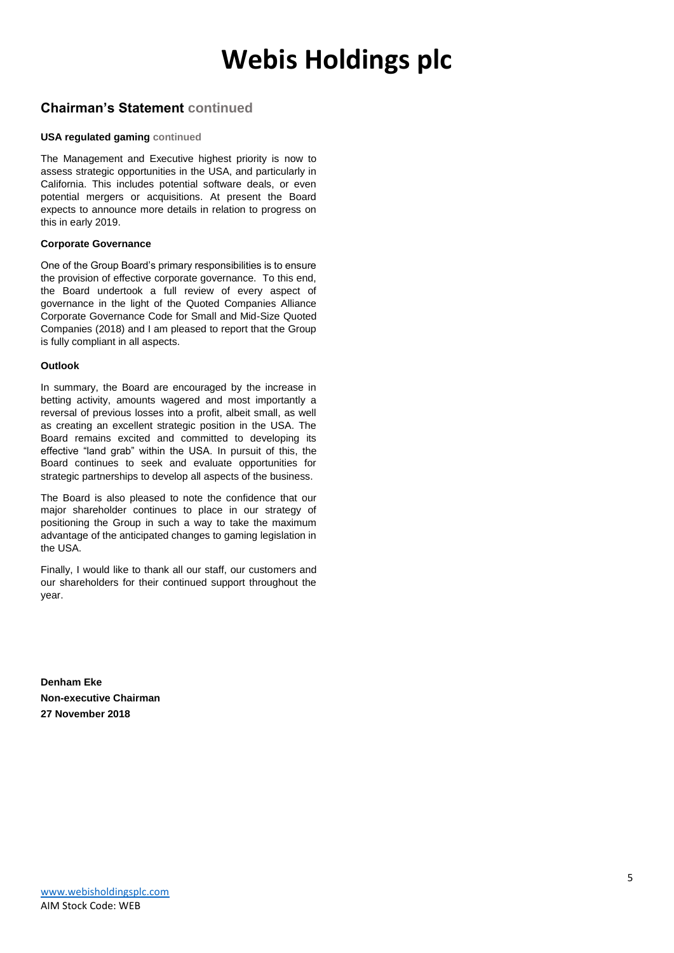### **Chairman's Statement continued**

#### **USA regulated gaming continued**

The Management and Executive highest priority is now to assess strategic opportunities in the USA, and particularly in California. This includes potential software deals, or even potential mergers or acquisitions. At present the Board expects to announce more details in relation to progress on this in early 2019.

#### **Corporate Governance**

One of the Group Board's primary responsibilities is to ensure the provision of effective corporate governance. To this end, the Board undertook a full review of every aspect of governance in the light of the Quoted Companies Alliance Corporate Governance Code for Small and Mid-Size Quoted Companies (2018) and I am pleased to report that the Group is fully compliant in all aspects.

#### **Outlook**

In summary, the Board are encouraged by the increase in betting activity, amounts wagered and most importantly a reversal of previous losses into a profit, albeit small, as well as creating an excellent strategic position in the USA. The Board remains excited and committed to developing its effective "land grab" within the USA. In pursuit of this, the Board continues to seek and evaluate opportunities for strategic partnerships to develop all aspects of the business.

The Board is also pleased to note the confidence that our major shareholder continues to place in our strategy of positioning the Group in such a way to take the maximum advantage of the anticipated changes to gaming legislation in the USA.

Finally, I would like to thank all our staff, our customers and our shareholders for their continued support throughout the year.

**Denham Eke Non-executive Chairman 27 November 2018**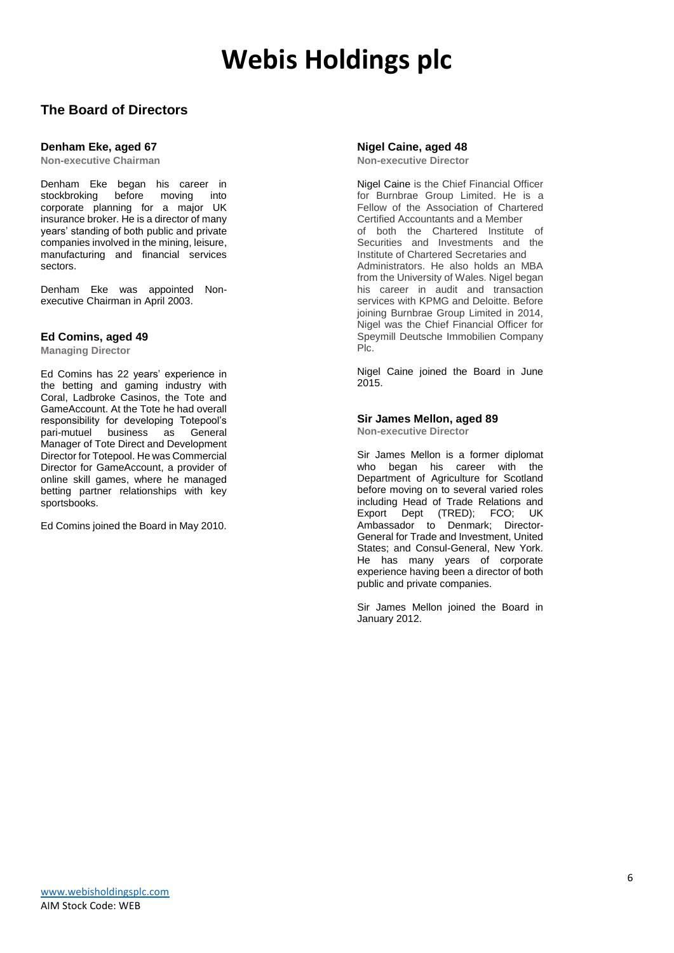### **The Board of Directors**

#### **Denham Eke, aged 67**

**Non-executive Chairman**

Denham Eke began his career in stockbroking before moving into corporate planning for a major UK insurance broker. He is a director of many years' standing of both public and private companies involved in the mining, leisure, manufacturing and financial services sectors.

Denham Eke was appointed Nonexecutive Chairman in April 2003.

#### **Ed Comins, aged 49**

**Managing Director**

Ed Comins has 22 years' experience in the betting and gaming industry with Coral, Ladbroke Casinos, the Tote and GameAccount. At the Tote he had overall responsibility for developing Totepool's pari-mutuel business as General Manager of Tote Direct and Development Director for Totepool. He was Commercial Director for GameAccount, a provider of online skill games, where he managed betting partner relationships with key sportsbooks.

Ed Comins joined the Board in May 2010.

#### **Nigel Caine, aged 48 Non-executive Director**

Nigel Caine is the Chief Financial Officer for Burnbrae Group Limited. He is a Fellow of the Association of Chartered Certified Accountants and a Member of both the Chartered Institute of Securities and Investments and the Institute of Chartered Secretaries and Administrators. He also holds an MBA from the University of Wales. Nigel began his career in audit and transaction services with KPMG and Deloitte. Before joining Burnbrae Group Limited in 2014, Nigel was the Chief Financial Officer for Speymill Deutsche Immobilien Company Plc.

Nigel Caine joined the Board in June 2015.

#### **Sir James Mellon, aged 89**

**Non-executive Director**

Sir James Mellon is a former diplomat who began his career with the Department of Agriculture for Scotland before moving on to several varied roles including Head of Trade Relations and Export Dept (TRED); FCO; UK Ambassador to Denmark; Director-General for Trade and Investment, United States; and Consul-General, New York. He has many years of corporate experience having been a director of both public and private companies.

Sir James Mellon joined the Board in January 2012.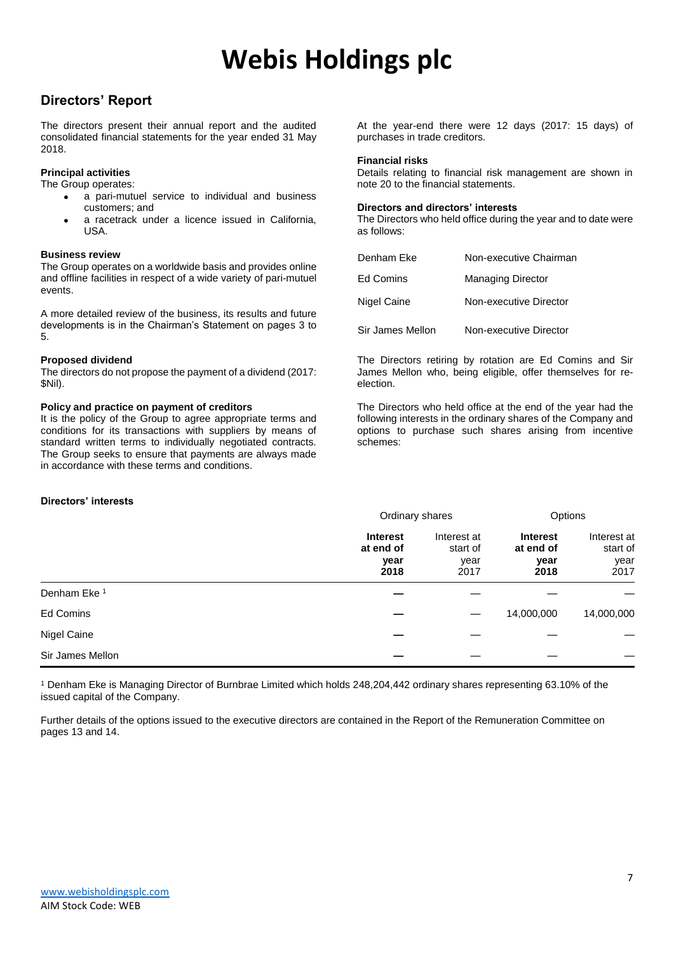### **Directors' Report**

The directors present their annual report and the audited consolidated financial statements for the year ended 31 May 2018.

#### **Principal activities**

The Group operates:

- a pari-mutuel service to individual and business customers; and
- a racetrack under a licence issued in California. USA.

#### **Business review**

The Group operates on a worldwide basis and provides online and offline facilities in respect of a wide variety of pari-mutuel events.

A more detailed review of the business, its results and future developments is in the Chairman's Statement on pages 3 to 5.

#### **Proposed dividend**

The directors do not propose the payment of a dividend (2017: \$Nil).

#### **Policy and practice on payment of creditors**

It is the policy of the Group to agree appropriate terms and conditions for its transactions with suppliers by means of standard written terms to individually negotiated contracts. The Group seeks to ensure that payments are always made in accordance with these terms and conditions.

#### **Directors' interests**

At the year-end there were 12 days (2017: 15 days) of purchases in trade creditors.

#### **Financial risks**

Details relating to financial risk management are shown in note 20 to the financial statements.

#### **Directors and directors' interests**

The Directors who held office during the year and to date were as follows:

| Denham Eke       | Non-executive Chairman   |
|------------------|--------------------------|
| Ed Comins        | <b>Managing Director</b> |
| Nigel Caine      | Non-executive Director   |
| Sir James Mellon | Non-executive Director   |

The Directors retiring by rotation are Ed Comins and Sir James Mellon who, being eligible, offer themselves for reelection.

The Directors who held office at the end of the year had the following interests in the ordinary shares of the Company and options to purchase such shares arising from incentive schemes:

|                         | Ordinary shares                              |                                         | Options                                      |                                         |
|-------------------------|----------------------------------------------|-----------------------------------------|----------------------------------------------|-----------------------------------------|
|                         | <b>Interest</b><br>at end of<br>year<br>2018 | Interest at<br>start of<br>year<br>2017 | <b>Interest</b><br>at end of<br>year<br>2018 | Interest at<br>start of<br>year<br>2017 |
| Denham Eke <sup>1</sup> |                                              |                                         |                                              |                                         |
| Ed Comins               |                                              |                                         | 14,000,000                                   | 14,000,000                              |
| Nigel Caine             |                                              |                                         |                                              |                                         |
| Sir James Mellon        |                                              |                                         |                                              |                                         |

<sup>1</sup> Denham Eke is Managing Director of Burnbrae Limited which holds 248,204,442 ordinary shares representing 63.10% of the issued capital of the Company.

Further details of the options issued to the executive directors are contained in the Report of the Remuneration Committee on pages 13 and 14.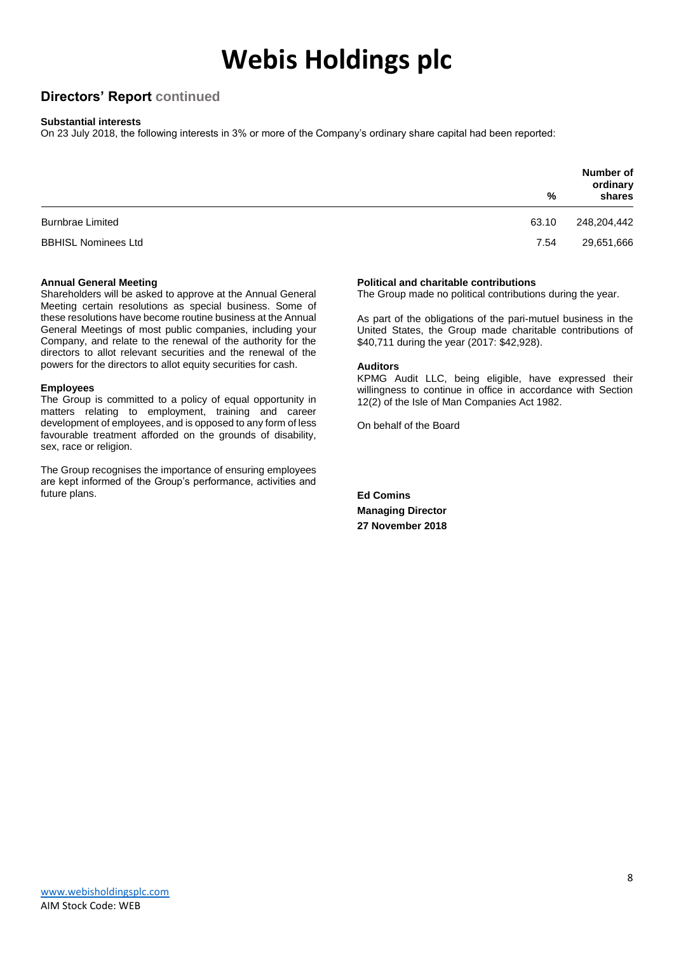### **Directors' Report continued**

#### **Substantial interests**

On 23 July 2018, the following interests in 3% or more of the Company's ordinary share capital had been reported:

|                            | %     | Number of<br>ordinary<br>shares |
|----------------------------|-------|---------------------------------|
| <b>Burnbrae Limited</b>    | 63.10 | 248,204,442                     |
| <b>BBHISL Nominees Ltd</b> | 7.54  | 29,651,666                      |

#### **Annual General Meeting**

Shareholders will be asked to approve at the Annual General Meeting certain resolutions as special business. Some of these resolutions have become routine business at the Annual General Meetings of most public companies, including your Company, and relate to the renewal of the authority for the directors to allot relevant securities and the renewal of the powers for the directors to allot equity securities for cash.

#### **Employees**

The Group is committed to a policy of equal opportunity in matters relating to employment, training and career development of employees, and is opposed to any form of less favourable treatment afforded on the grounds of disability, sex, race or religion.

The Group recognises the importance of ensuring employees are kept informed of the Group's performance, activities and future plans.

#### **Political and charitable contributions**

The Group made no political contributions during the year.

As part of the obligations of the pari-mutuel business in the United States, the Group made charitable contributions of \$40,711 during the year (2017: \$42,928).

#### **Auditors**

KPMG Audit LLC, being eligible, have expressed their willingness to continue in office in accordance with Section 12(2) of the Isle of Man Companies Act 1982.

On behalf of the Board

**Ed Comins Managing Director 27 November 2018**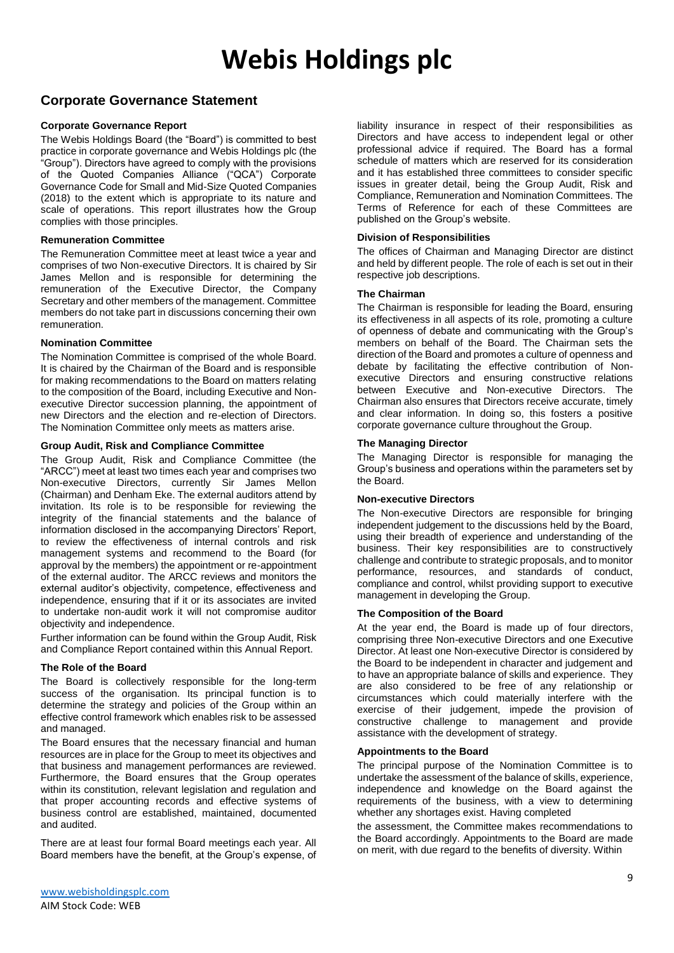### **Corporate Governance Statement**

#### **Corporate Governance Report**

The Webis Holdings Board (the "Board") is committed to best practice in corporate governance and Webis Holdings plc (the "Group"). Directors have agreed to comply with the provisions of the Quoted Companies Alliance ("QCA") Corporate Governance Code for Small and Mid-Size Quoted Companies (2018) to the extent which is appropriate to its nature and scale of operations. This report illustrates how the Group complies with those principles.

#### **Remuneration Committee**

The Remuneration Committee meet at least twice a year and comprises of two Non-executive Directors. It is chaired by Sir James Mellon and is responsible for determining the remuneration of the Executive Director, the Company Secretary and other members of the management. Committee members do not take part in discussions concerning their own remuneration.

#### **Nomination Committee**

The Nomination Committee is comprised of the whole Board. It is chaired by the Chairman of the Board and is responsible for making recommendations to the Board on matters relating to the composition of the Board, including Executive and Nonexecutive Director succession planning, the appointment of new Directors and the election and re-election of Directors. The Nomination Committee only meets as matters arise.

#### **Group Audit, Risk and Compliance Committee**

The Group Audit, Risk and Compliance Committee (the "ARCC") meet at least two times each year and comprises two Non-executive Directors, currently Sir James Mellon (Chairman) and Denham Eke. The external auditors attend by invitation. Its role is to be responsible for reviewing the integrity of the financial statements and the balance of information disclosed in the accompanying Directors' Report, to review the effectiveness of internal controls and risk management systems and recommend to the Board (for approval by the members) the appointment or re-appointment of the external auditor. The ARCC reviews and monitors the external auditor's objectivity, competence, effectiveness and independence, ensuring that if it or its associates are invited to undertake non-audit work it will not compromise auditor objectivity and independence.

Further information can be found within the Group Audit, Risk and Compliance Report contained within this Annual Report.

#### **The Role of the Board**

The Board is collectively responsible for the long-term success of the organisation. Its principal function is to determine the strategy and policies of the Group within an effective control framework which enables risk to be assessed and managed.

The Board ensures that the necessary financial and human resources are in place for the Group to meet its objectives and that business and management performances are reviewed. Furthermore, the Board ensures that the Group operates within its constitution, relevant legislation and regulation and that proper accounting records and effective systems of business control are established, maintained, documented and audited.

There are at least four formal Board meetings each year. All Board members have the benefit, at the Group's expense, of liability insurance in respect of their responsibilities as Directors and have access to independent legal or other professional advice if required. The Board has a formal schedule of matters which are reserved for its consideration and it has established three committees to consider specific issues in greater detail, being the Group Audit, Risk and Compliance, Remuneration and Nomination Committees. The Terms of Reference for each of these Committees are published on the Group's website.

#### **Division of Responsibilities**

The offices of Chairman and Managing Director are distinct and held by different people. The role of each is set out in their respective job descriptions.

#### **The Chairman**

The Chairman is responsible for leading the Board, ensuring its effectiveness in all aspects of its role, promoting a culture of openness of debate and communicating with the Group's members on behalf of the Board. The Chairman sets the direction of the Board and promotes a culture of openness and debate by facilitating the effective contribution of Nonexecutive Directors and ensuring constructive relations between Executive and Non-executive Directors. The Chairman also ensures that Directors receive accurate, timely and clear information. In doing so, this fosters a positive corporate governance culture throughout the Group.

#### **The Managing Director**

The Managing Director is responsible for managing the Group's business and operations within the parameters set by the Board.

#### **Non-executive Directors**

The Non-executive Directors are responsible for bringing independent judgement to the discussions held by the Board, using their breadth of experience and understanding of the business. Their key responsibilities are to constructively challenge and contribute to strategic proposals, and to monitor performance, resources, and standards of conduct, compliance and control, whilst providing support to executive management in developing the Group.

#### **The Composition of the Board**

At the year end, the Board is made up of four directors, comprising three Non-executive Directors and one Executive Director. At least one Non-executive Director is considered by the Board to be independent in character and judgement and to have an appropriate balance of skills and experience. They are also considered to be free of any relationship or circumstances which could materially interfere with the exercise of their judgement, impede the provision of constructive challenge to management and provide assistance with the development of strategy.

#### **Appointments to the Board**

The principal purpose of the Nomination Committee is to undertake the assessment of the balance of skills, experience, independence and knowledge on the Board against the requirements of the business, with a view to determining whether any shortages exist. Having completed

the assessment, the Committee makes recommendations to the Board accordingly. Appointments to the Board are made on merit, with due regard to the benefits of diversity. Within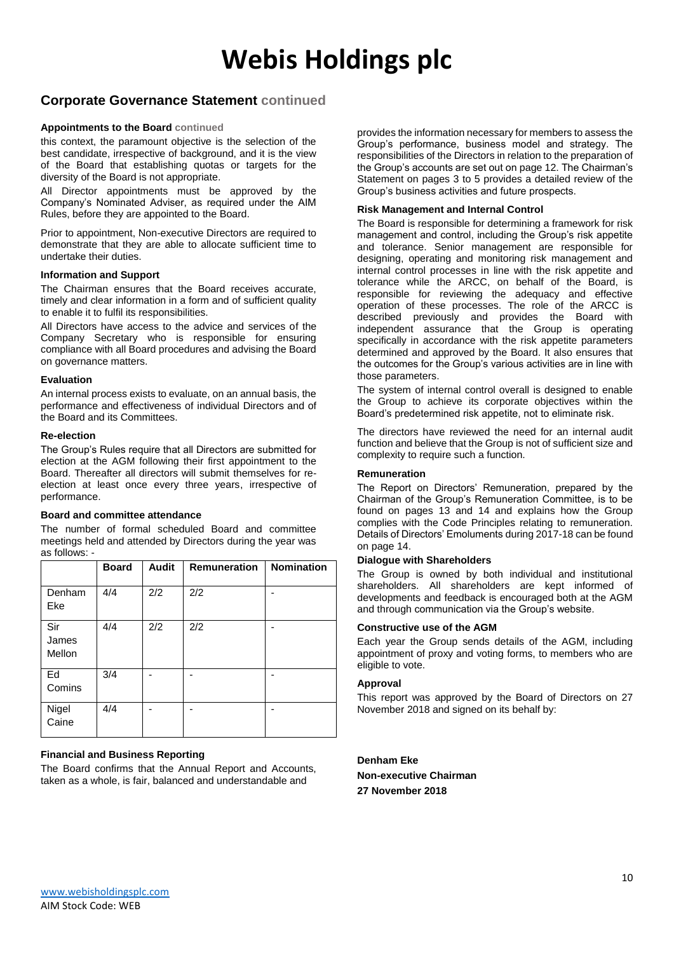### **Corporate Governance Statement continued**

#### **Appointments to the Board continued**

this context, the paramount objective is the selection of the best candidate, irrespective of background, and it is the view of the Board that establishing quotas or targets for the diversity of the Board is not appropriate.

All Director appointments must be approved by the Company's Nominated Adviser, as required under the AIM Rules, before they are appointed to the Board.

Prior to appointment, Non-executive Directors are required to demonstrate that they are able to allocate sufficient time to undertake their duties.

#### **Information and Support**

The Chairman ensures that the Board receives accurate, timely and clear information in a form and of sufficient quality to enable it to fulfil its responsibilities.

All Directors have access to the advice and services of the Company Secretary who is responsible for ensuring compliance with all Board procedures and advising the Board on governance matters.

#### **Evaluation**

An internal process exists to evaluate, on an annual basis, the performance and effectiveness of individual Directors and of the Board and its Committees.

#### **Re-election**

The Group's Rules require that all Directors are submitted for election at the AGM following their first appointment to the Board. Thereafter all directors will submit themselves for reelection at least once every three years, irrespective of performance.

#### **Board and committee attendance**

The number of formal scheduled Board and committee meetings held and attended by Directors during the year was as follows: -

|                        | <b>Board</b> | <b>Audit</b> | <b>Remuneration</b> | <b>Nomination</b> |
|------------------------|--------------|--------------|---------------------|-------------------|
| Denham<br>Eke          | 4/4          | 2/2          | 2/2                 |                   |
| Sir<br>James<br>Mellon | 4/4          | 2/2          | 2/2                 |                   |
| Ed<br>Comins           | 3/4          |              |                     |                   |
| Nigel<br>Caine         | 4/4          |              |                     |                   |

#### **Financial and Business Reporting**

The Board confirms that the Annual Report and Accounts, taken as a whole, is fair, balanced and understandable and

provides the information necessary for members to assess the Group's performance, business model and strategy. The responsibilities of the Directors in relation to the preparation of the Group's accounts are set out on page 12. The Chairman's Statement on pages 3 to 5 provides a detailed review of the Group's business activities and future prospects.

#### **Risk Management and Internal Control**

The Board is responsible for determining a framework for risk management and control, including the Group's risk appetite and tolerance. Senior management are responsible for designing, operating and monitoring risk management and internal control processes in line with the risk appetite and tolerance while the ARCC, on behalf of the Board, is responsible for reviewing the adequacy and effective operation of these processes. The role of the ARCC is described previously and provides the Board with independent assurance that the Group is operating specifically in accordance with the risk appetite parameters determined and approved by the Board. It also ensures that the outcomes for the Group's various activities are in line with those parameters.

The system of internal control overall is designed to enable the Group to achieve its corporate objectives within the Board's predetermined risk appetite, not to eliminate risk.

The directors have reviewed the need for an internal audit function and believe that the Group is not of sufficient size and complexity to require such a function.

#### **Remuneration**

The Report on Directors' Remuneration, prepared by the Chairman of the Group's Remuneration Committee, is to be found on pages 13 and 14 and explains how the Group complies with the Code Principles relating to remuneration. Details of Directors' Emoluments during 2017-18 can be found on page 14.

#### **Dialogue with Shareholders**

The Group is owned by both individual and institutional shareholders. All shareholders are kept informed of developments and feedback is encouraged both at the AGM and through communication via the Group's website.

#### **Constructive use of the AGM**

Each year the Group sends details of the AGM, including appointment of proxy and voting forms, to members who are eligible to vote.

#### **Approval**

This report was approved by the Board of Directors on 27 November 2018 and signed on its behalf by:

**Denham Eke Non-executive Chairman 27 November 2018**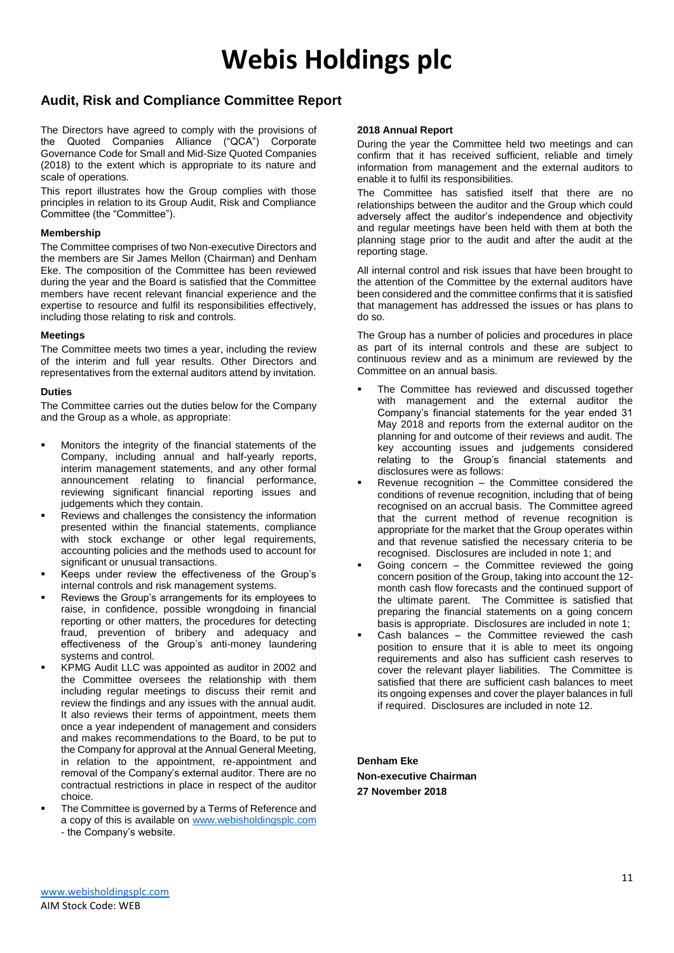### **Audit, Risk and Compliance Committee Report**

The Directors have agreed to comply with the provisions of the Quoted Companies Alliance ("QCA") Corporate Governance Code for Small and Mid-Size Quoted Companies (2018) to the extent which is appropriate to its nature and scale of operations.

This report illustrates how the Group complies with those principles in relation to its Group Audit, Risk and Compliance Committee (the "Committee").

#### **Membership**

The Committee comprises of two Non-executive Directors and the members are Sir James Mellon (Chairman) and Denham Eke. The composition of the Committee has been reviewed during the year and the Board is satisfied that the Committee members have recent relevant financial experience and the expertise to resource and fulfil its responsibilities effectively, including those relating to risk and controls.

#### **Meetings**

The Committee meets two times a year, including the review of the interim and full year results. Other Directors and representatives from the external auditors attend by invitation.

#### **Duties**

The Committee carries out the duties below for the Company and the Group as a whole, as appropriate:

- Monitors the integrity of the financial statements of the Company, including annual and half-yearly reports, interim management statements, and any other formal announcement relating to financial performance, reviewing significant financial reporting issues and judgements which they contain.
- Reviews and challenges the consistency the information presented within the financial statements, compliance with stock exchange or other legal requirements, accounting policies and the methods used to account for significant or unusual transactions.
- Keeps under review the effectiveness of the Group's internal controls and risk management systems.
- Reviews the Group's arrangements for its employees to raise, in confidence, possible wrongdoing in financial reporting or other matters, the procedures for detecting fraud, prevention of bribery and adequacy and effectiveness of the Group's anti-money laundering systems and control.
- KPMG Audit LLC was appointed as auditor in 2002 and the Committee oversees the relationship with them including regular meetings to discuss their remit and review the findings and any issues with the annual audit. It also reviews their terms of appointment, meets them once a year independent of management and considers and makes recommendations to the Board, to be put to the Company for approval at the Annual General Meeting, in relation to the appointment, re-appointment and removal of the Company's external auditor. There are no contractual restrictions in place in respect of the auditor choice.
- The Committee is governed by a Terms of Reference and a copy of this is available on [www.webisholdingsplc.com](http://www.webisholdingsplc.com/) - the Company's website.

#### **2018 Annual Report**

During the year the Committee held two meetings and can confirm that it has received sufficient, reliable and timely information from management and the external auditors to enable it to fulfil its responsibilities.

The Committee has satisfied itself that there are no relationships between the auditor and the Group which could adversely affect the auditor's independence and objectivity and regular meetings have been held with them at both the planning stage prior to the audit and after the audit at the reporting stage.

All internal control and risk issues that have been brought to the attention of the Committee by the external auditors have been considered and the committee confirms that it is satisfied that management has addressed the issues or has plans to do so.

The Group has a number of policies and procedures in place as part of its internal controls and these are subject to continuous review and as a minimum are reviewed by the Committee on an annual basis.

- The Committee has reviewed and discussed together with management and the external auditor the Company's financial statements for the year ended 31 May 2018 and reports from the external auditor on the planning for and outcome of their reviews and audit. The key accounting issues and judgements considered relating to the Group's financial statements and disclosures were as follows:
- Revenue recognition  $-$  the Committee considered the conditions of revenue recognition, including that of being recognised on an accrual basis. The Committee agreed that the current method of revenue recognition is appropriate for the market that the Group operates within and that revenue satisfied the necessary criteria to be recognised. Disclosures are included in note 1; and
- Going concern  $-$  the Committee reviewed the going concern position of the Group, taking into account the 12 month cash flow forecasts and the continued support of the ultimate parent. The Committee is satisfied that preparing the financial statements on a going concern basis is appropriate. Disclosures are included in note 1;
- Cash balances the Committee reviewed the cash position to ensure that it is able to meet its ongoing requirements and also has sufficient cash reserves to cover the relevant player liabilities. The Committee is satisfied that there are sufficient cash balances to meet its ongoing expenses and cover the player balances in full if required. Disclosures are included in note 12.

**Denham Eke Non-executive Chairman 27 November 2018**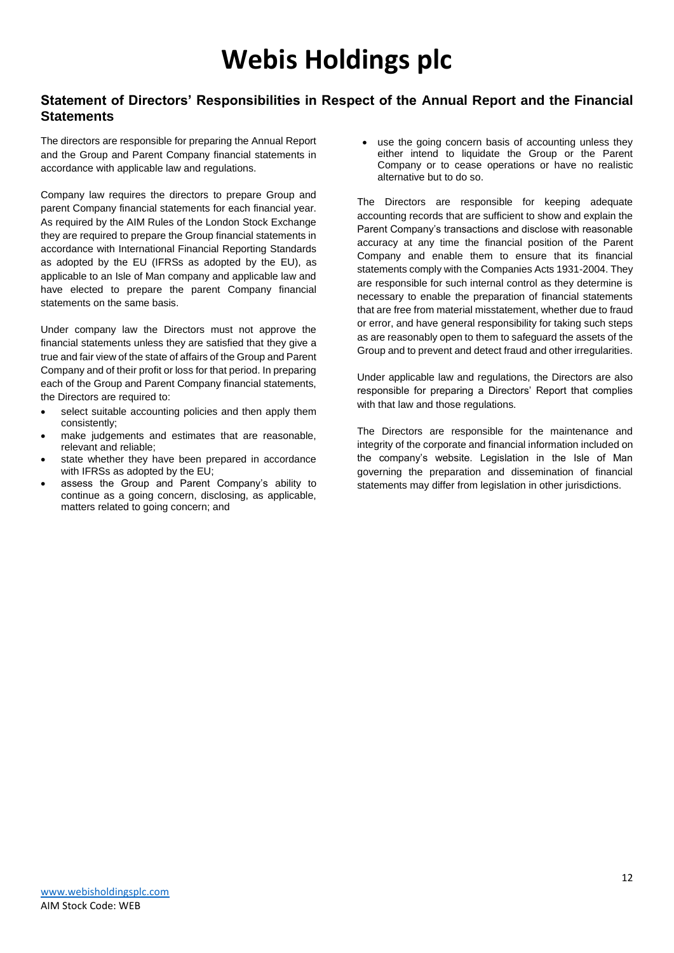### **Statement of Directors' Responsibilities in Respect of the Annual Report and the Financial Statements**

The directors are responsible for preparing the Annual Report and the Group and Parent Company financial statements in accordance with applicable law and regulations.

Company law requires the directors to prepare Group and parent Company financial statements for each financial year. As required by the AIM Rules of the London Stock Exchange they are required to prepare the Group financial statements in accordance with International Financial Reporting Standards as adopted by the EU (IFRSs as adopted by the EU), as applicable to an Isle of Man company and applicable law and have elected to prepare the parent Company financial statements on the same basis.

Under company law the Directors must not approve the financial statements unless they are satisfied that they give a true and fair view of the state of affairs of the Group and Parent Company and of their profit or loss for that period. In preparing each of the Group and Parent Company financial statements, the Directors are required to:

- select suitable accounting policies and then apply them consistently;
- make judgements and estimates that are reasonable, relevant and reliable;
- state whether they have been prepared in accordance with IFRSs as adopted by the EU;
- assess the Group and Parent Company's ability to continue as a going concern, disclosing, as applicable, matters related to going concern; and

• use the going concern basis of accounting unless they either intend to liquidate the Group or the Parent Company or to cease operations or have no realistic alternative but to do so.

The Directors are responsible for keeping adequate accounting records that are sufficient to show and explain the Parent Company's transactions and disclose with reasonable accuracy at any time the financial position of the Parent Company and enable them to ensure that its financial statements comply with the Companies Acts 1931-2004. They are responsible for such internal control as they determine is necessary to enable the preparation of financial statements that are free from material misstatement, whether due to fraud or error, and have general responsibility for taking such steps as are reasonably open to them to safeguard the assets of the Group and to prevent and detect fraud and other irregularities.

Under applicable law and regulations, the Directors are also responsible for preparing a Directors' Report that complies with that law and those regulations.

The Directors are responsible for the maintenance and integrity of the corporate and financial information included on the company's website. Legislation in the Isle of Man governing the preparation and dissemination of financial statements may differ from legislation in other jurisdictions.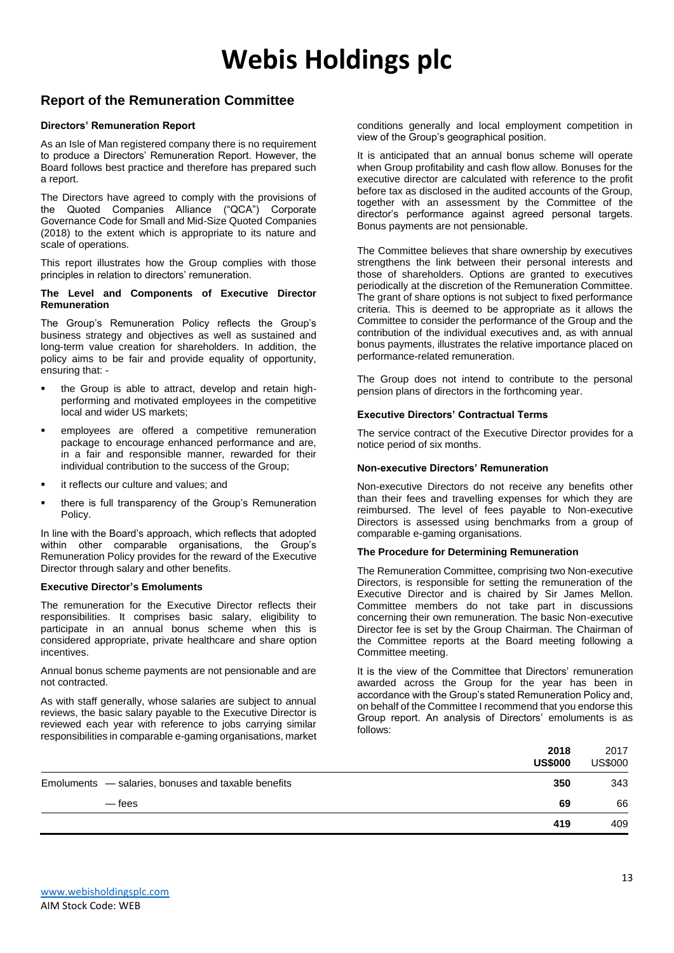### **Report of the Remuneration Committee**

#### **Directors' Remuneration Report**

As an Isle of Man registered company there is no requirement to produce a Directors' Remuneration Report. However, the Board follows best practice and therefore has prepared such a report.

The Directors have agreed to comply with the provisions of the Quoted Companies Alliance ("QCA") Corporate Governance Code for Small and Mid-Size Quoted Companies (2018) to the extent which is appropriate to its nature and scale of operations.

This report illustrates how the Group complies with those principles in relation to directors' remuneration.

#### **The Level and Components of Executive Director Remuneration**

The Group's Remuneration Policy reflects the Group's business strategy and objectives as well as sustained and long-term value creation for shareholders. In addition, the policy aims to be fair and provide equality of opportunity, ensuring that: -

- the Group is able to attract, develop and retain highperforming and motivated employees in the competitive local and wider US markets;
- employees are offered a competitive remuneration package to encourage enhanced performance and are, in a fair and responsible manner, rewarded for their individual contribution to the success of the Group;
- it reflects our culture and values; and
- there is full transparency of the Group's Remuneration Policy.

In line with the Board's approach, which reflects that adopted within other comparable organisations, the Group's Remuneration Policy provides for the reward of the Executive Director through salary and other benefits.

#### **Executive Director's Emoluments**

The remuneration for the Executive Director reflects their responsibilities. It comprises basic salary, eligibility to participate in an annual bonus scheme when this is considered appropriate, private healthcare and share option incentives.

Annual bonus scheme payments are not pensionable and are not contracted.

As with staff generally, whose salaries are subject to annual reviews, the basic salary payable to the Executive Director is reviewed each year with reference to jobs carrying similar responsibilities in comparable e-gaming organisations, market

conditions generally and local employment competition in view of the Group's geographical position.

It is anticipated that an annual bonus scheme will operate when Group profitability and cash flow allow. Bonuses for the executive director are calculated with reference to the profit before tax as disclosed in the audited accounts of the Group, together with an assessment by the Committee of the director's performance against agreed personal targets. Bonus payments are not pensionable.

The Committee believes that share ownership by executives strengthens the link between their personal interests and those of shareholders. Options are granted to executives periodically at the discretion of the Remuneration Committee. The grant of share options is not subject to fixed performance criteria. This is deemed to be appropriate as it allows the Committee to consider the performance of the Group and the contribution of the individual executives and, as with annual bonus payments, illustrates the relative importance placed on performance-related remuneration.

The Group does not intend to contribute to the personal pension plans of directors in the forthcoming year.

#### **Executive Directors' Contractual Terms**

The service contract of the Executive Director provides for a notice period of six months.

#### **Non-executive Directors' Remuneration**

Non-executive Directors do not receive any benefits other than their fees and travelling expenses for which they are reimbursed. The level of fees payable to Non-executive Directors is assessed using benchmarks from a group of comparable e-gaming organisations.

#### **The Procedure for Determining Remuneration**

The Remuneration Committee, comprising two Non-executive Directors, is responsible for setting the remuneration of the Executive Director and is chaired by Sir James Mellon. Committee members do not take part in discussions concerning their own remuneration. The basic Non-executive Director fee is set by the Group Chairman. The Chairman of the Committee reports at the Board meeting following a Committee meeting.

It is the view of the Committee that Directors' remuneration awarded across the Group for the year has been in accordance with the Group's stated Remuneration Policy and, on behalf of the Committee I recommend that you endorse this Group report. An analysis of Directors' emoluments is as follows:

|                                                     | 2018<br><b>US\$000</b> | 2017<br><b>US\$000</b> |
|-----------------------------------------------------|------------------------|------------------------|
| Emoluments - salaries, bonuses and taxable benefits | 350                    | 343                    |
| — fees                                              | 69                     | 66                     |
|                                                     | 419                    | 409                    |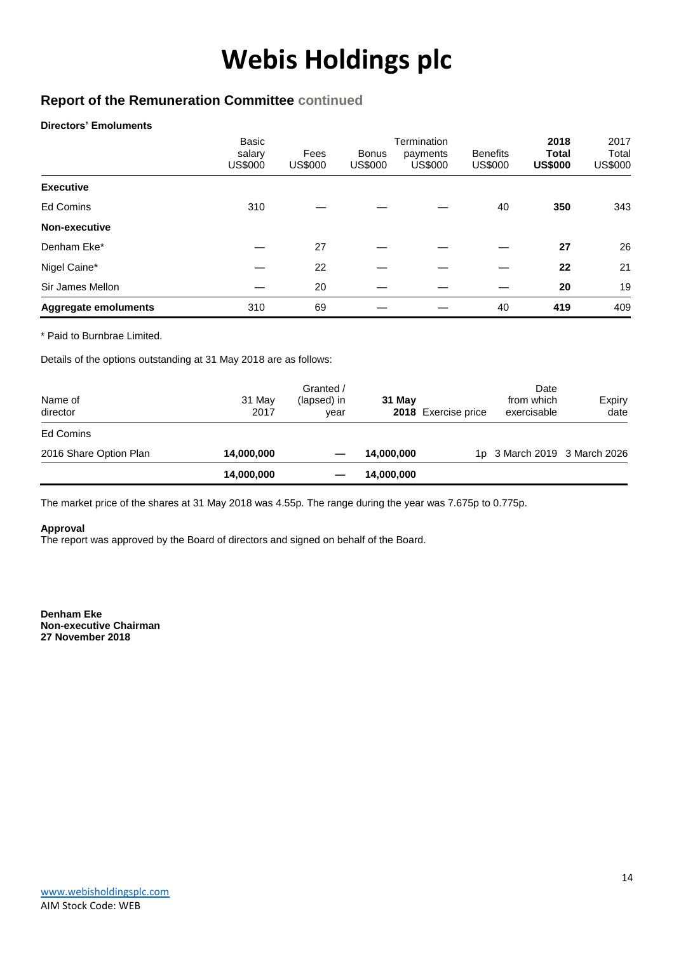### **Report of the Remuneration Committee continued**

#### **Directors' Emoluments**

|                             | <b>Basic</b><br>salary<br>US\$000 | Fees<br><b>US\$000</b> | <b>Bonus</b><br>US\$000 | Termination<br>payments<br><b>US\$000</b> | <b>Benefits</b><br><b>US\$000</b> | 2018<br><b>Total</b><br><b>US\$000</b> | 2017<br>Total<br><b>US\$000</b> |
|-----------------------------|-----------------------------------|------------------------|-------------------------|-------------------------------------------|-----------------------------------|----------------------------------------|---------------------------------|
| <b>Executive</b>            |                                   |                        |                         |                                           |                                   |                                        |                                 |
| <b>Ed Comins</b>            | 310                               |                        |                         |                                           | 40                                | 350                                    | 343                             |
| Non-executive               |                                   |                        |                         |                                           |                                   |                                        |                                 |
| Denham Eke*                 |                                   | 27                     |                         |                                           |                                   | 27                                     | 26                              |
| Nigel Caine*                |                                   | 22                     |                         |                                           |                                   | 22                                     | 21                              |
| Sir James Mellon            |                                   | 20                     |                         |                                           |                                   | 20                                     | 19                              |
| <b>Aggregate emoluments</b> | 310                               | 69                     |                         |                                           | 40                                | 419                                    | 409                             |

\* Paid to Burnbrae Limited.

Details of the options outstanding at 31 May 2018 are as follows:

| Name of<br>director    | 31 May<br>2017 | Granted /<br>(lapsed) in<br>year | 31 May     | 2018 Exercise price | Date<br>from which<br>exercisable | Expiry<br>date |
|------------------------|----------------|----------------------------------|------------|---------------------|-----------------------------------|----------------|
| Ed Comins              |                |                                  |            |                     |                                   |                |
| 2016 Share Option Plan | 14,000,000     |                                  | 14,000,000 |                     | 1p 3 March 2019 3 March 2026      |                |
|                        | 14,000,000     |                                  | 14,000,000 |                     |                                   |                |

The market price of the shares at 31 May 2018 was 4.55p. The range during the year was 7.675p to 0.775p.

#### **Approval**

The report was approved by the Board of directors and signed on behalf of the Board.

**Denham Eke Non-executive Chairman 27 November 2018**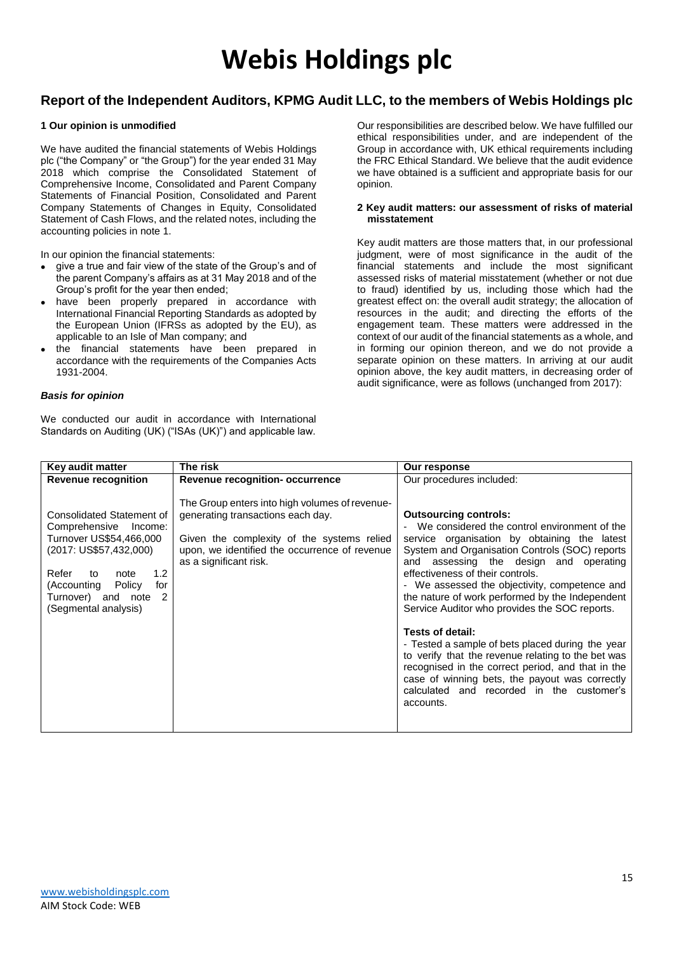### **Report of the Independent Auditors, KPMG Audit LLC, to the members of Webis Holdings plc**

#### **1 Our opinion is unmodified**

We have audited the financial statements of Webis Holdings plc ("the Company" or "the Group") for the year ended 31 May 2018 which comprise the Consolidated Statement of Comprehensive Income, Consolidated and Parent Company Statements of Financial Position, Consolidated and Parent Company Statements of Changes in Equity, Consolidated Statement of Cash Flows, and the related notes, including the accounting policies in note 1.

In our opinion the financial statements:

- give a true and fair view of the state of the Group's and of the parent Company's affairs as at 31 May 2018 and of the Group's profit for the year then ended;
- have been properly prepared in accordance with International Financial Reporting Standards as adopted by the European Union (IFRSs as adopted by the EU), as applicable to an Isle of Man company; and
- the financial statements have been prepared in accordance with the requirements of the Companies Acts 1931-2004.

#### *Basis for opinion*

We conducted our audit in accordance with International Standards on Auditing (UK) ("ISAs (UK)") and applicable law.

Our responsibilities are described below. We have fulfilled our ethical responsibilities under, and are independent of the Group in accordance with, UK ethical requirements including the FRC Ethical Standard. We believe that the audit evidence we have obtained is a sufficient and appropriate basis for our opinion.

#### **2 Key audit matters: our assessment of risks of material misstatement**

Key audit matters are those matters that, in our professional judgment, were of most significance in the audit of the financial statements and include the most significant assessed risks of material misstatement (whether or not due to fraud) identified by us, including those which had the greatest effect on: the overall audit strategy; the allocation of resources in the audit; and directing the efforts of the engagement team. These matters were addressed in the context of our audit of the financial statements as a whole, and in forming our opinion thereon, and we do not provide a separate opinion on these matters. In arriving at our audit opinion above, the key audit matters, in decreasing order of audit significance, were as follows (unchanged from 2017):

| Key audit matter                                                                                                                                                                                                                     | The risk                                                                                                                                                                                                     | Our response                                                                                                                                                                                                                                                                                                                                                                                                                                                                                                                                                                                                                                                                                                          |
|--------------------------------------------------------------------------------------------------------------------------------------------------------------------------------------------------------------------------------------|--------------------------------------------------------------------------------------------------------------------------------------------------------------------------------------------------------------|-----------------------------------------------------------------------------------------------------------------------------------------------------------------------------------------------------------------------------------------------------------------------------------------------------------------------------------------------------------------------------------------------------------------------------------------------------------------------------------------------------------------------------------------------------------------------------------------------------------------------------------------------------------------------------------------------------------------------|
| <b>Revenue recognition</b>                                                                                                                                                                                                           | Revenue recognition- occurrence                                                                                                                                                                              | Our procedures included:                                                                                                                                                                                                                                                                                                                                                                                                                                                                                                                                                                                                                                                                                              |
| Consolidated Statement of<br>Comprehensive<br>Income:<br>Turnover US\$54,466,000<br>(2017: US\$57,432,000)<br>1.2<br>Refer<br>to<br>note<br>(Accounting Policy<br>for<br>$\mathcal{P}$<br>Turnover) and note<br>(Segmental analysis) | The Group enters into high volumes of revenue-<br>generating transactions each day.<br>Given the complexity of the systems relied<br>upon, we identified the occurrence of revenue<br>as a significant risk. | <b>Outsourcing controls:</b><br>- We considered the control environment of the<br>service organisation by obtaining the latest<br>System and Organisation Controls (SOC) reports<br>assessing the design and operating<br>and<br>effectiveness of their controls.<br>- We assessed the objectivity, competence and<br>the nature of work performed by the Independent<br>Service Auditor who provides the SOC reports.<br>Tests of detail:<br>- Tested a sample of bets placed during the year<br>to verify that the revenue relating to the bet was<br>recognised in the correct period, and that in the<br>case of winning bets, the payout was correctly<br>calculated and recorded in the customer's<br>accounts. |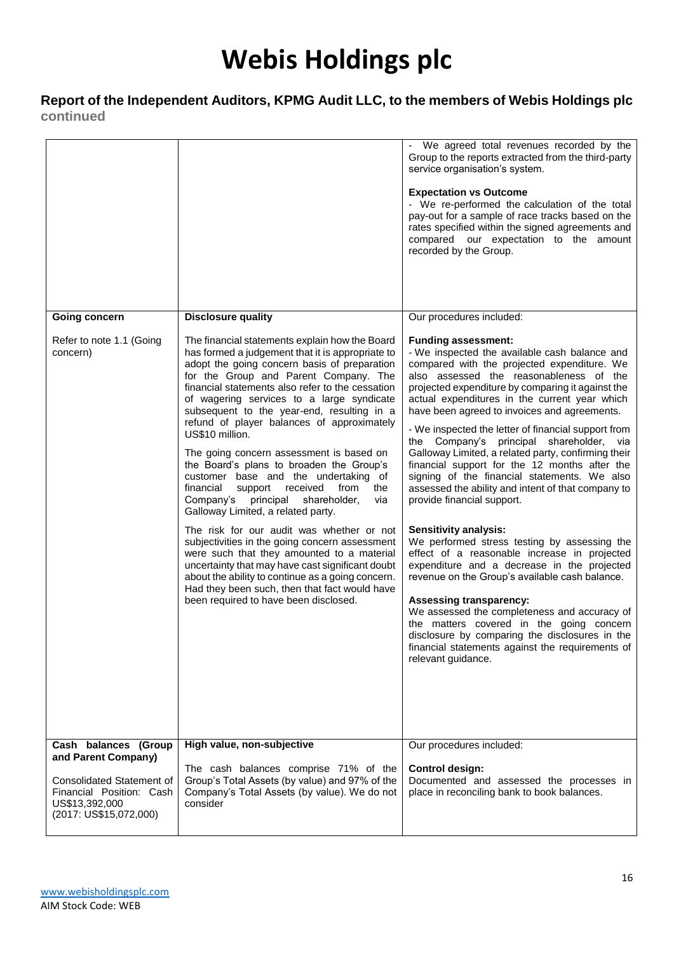### **Report of the Independent Auditors, KPMG Audit LLC, to the members of Webis Holdings plc continued**

| <b>Going concern</b>                                                                                     | <b>Disclosure quality</b>                                                                                                                                                                                                                                                                                                                                                                                                                                                                                                                                                                                                                                                                                                                                                                                                                                                                                                                                                                                                          | - We agreed total revenues recorded by the<br>Group to the reports extracted from the third-party<br>service organisation's system.<br><b>Expectation vs Outcome</b><br>- We re-performed the calculation of the total<br>pay-out for a sample of race tracks based on the<br>rates specified within the signed agreements and<br>compared our expectation to the amount<br>recorded by the Group.<br>Our procedures included:                                                                                                                                                                                                                                                                                                                                                                                                                                                                                                                                                                                                                                                                                                                                        |
|----------------------------------------------------------------------------------------------------------|------------------------------------------------------------------------------------------------------------------------------------------------------------------------------------------------------------------------------------------------------------------------------------------------------------------------------------------------------------------------------------------------------------------------------------------------------------------------------------------------------------------------------------------------------------------------------------------------------------------------------------------------------------------------------------------------------------------------------------------------------------------------------------------------------------------------------------------------------------------------------------------------------------------------------------------------------------------------------------------------------------------------------------|-----------------------------------------------------------------------------------------------------------------------------------------------------------------------------------------------------------------------------------------------------------------------------------------------------------------------------------------------------------------------------------------------------------------------------------------------------------------------------------------------------------------------------------------------------------------------------------------------------------------------------------------------------------------------------------------------------------------------------------------------------------------------------------------------------------------------------------------------------------------------------------------------------------------------------------------------------------------------------------------------------------------------------------------------------------------------------------------------------------------------------------------------------------------------|
| Refer to note 1.1 (Going<br>concern)                                                                     | The financial statements explain how the Board<br>has formed a judgement that it is appropriate to<br>adopt the going concern basis of preparation<br>for the Group and Parent Company. The<br>financial statements also refer to the cessation<br>of wagering services to a large syndicate<br>subsequent to the year-end, resulting in a<br>refund of player balances of approximately<br>US\$10 million.<br>The going concern assessment is based on<br>the Board's plans to broaden the Group's<br>customer base and the undertaking of<br>financial<br>the<br>support<br>received<br>from<br>Company's<br>principal shareholder,<br>via<br>Galloway Limited, a related party.<br>The risk for our audit was whether or not<br>subjectivities in the going concern assessment<br>were such that they amounted to a material<br>uncertainty that may have cast significant doubt<br>about the ability to continue as a going concern.<br>Had they been such, then that fact would have<br>been required to have been disclosed. | <b>Funding assessment:</b><br>- We inspected the available cash balance and<br>compared with the projected expenditure. We<br>also assessed the reasonableness of the<br>projected expenditure by comparing it against the<br>actual expenditures in the current year which<br>have been agreed to invoices and agreements.<br>- We inspected the letter of financial support from<br>the Company's principal shareholder, via<br>Galloway Limited, a related party, confirming their<br>financial support for the 12 months after the<br>signing of the financial statements. We also<br>assessed the ability and intent of that company to<br>provide financial support.<br><b>Sensitivity analysis:</b><br>We performed stress testing by assessing the<br>effect of a reasonable increase in projected<br>expenditure and a decrease in the projected<br>revenue on the Group's available cash balance.<br><b>Assessing transparency:</b><br>We assessed the completeness and accuracy of<br>the matters covered in the going concern<br>disclosure by comparing the disclosures in the<br>financial statements against the requirements of<br>relevant guidance. |
| Cash balances (Group<br>and Parent Company)                                                              | High value, non-subjective                                                                                                                                                                                                                                                                                                                                                                                                                                                                                                                                                                                                                                                                                                                                                                                                                                                                                                                                                                                                         | Our procedures included:                                                                                                                                                                                                                                                                                                                                                                                                                                                                                                                                                                                                                                                                                                                                                                                                                                                                                                                                                                                                                                                                                                                                              |
| <b>Consolidated Statement of</b><br>Financial Position: Cash<br>US\$13,392,000<br>(2017: US\$15,072,000) | The cash balances comprise 71% of the<br>Group's Total Assets (by value) and 97% of the<br>Company's Total Assets (by value). We do not<br>consider                                                                                                                                                                                                                                                                                                                                                                                                                                                                                                                                                                                                                                                                                                                                                                                                                                                                                | <b>Control design:</b><br>Documented and assessed the processes in<br>place in reconciling bank to book balances.                                                                                                                                                                                                                                                                                                                                                                                                                                                                                                                                                                                                                                                                                                                                                                                                                                                                                                                                                                                                                                                     |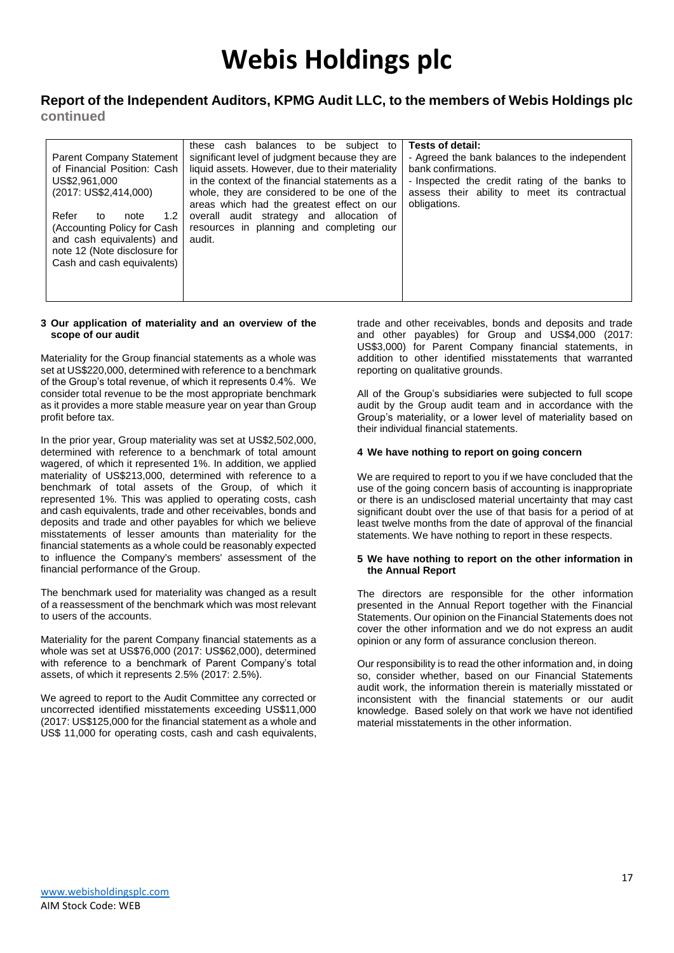#### **Report of the Independent Auditors, KPMG Audit LLC, to the members of Webis Holdings plc continued**

| <b>Parent Company Statement</b><br>of Financial Position: Cash<br>US\$2,961,000<br>(2017: US\$2,414,000)<br>Refer<br>1.2<br>to<br>note<br>(Accounting Policy for Cash<br>and cash equivalents) and<br>note 12 (Note disclosure for<br>Cash and cash equivalents) | these cash balances to be subject to<br>significant level of judgment because they are<br>liquid assets. However, due to their materiality<br>in the context of the financial statements as a<br>whole, they are considered to be one of the<br>areas which had the greatest effect on our<br>overall audit strategy and allocation of<br>resources in planning and completing our<br>audit. | Tests of detail:<br>- Agreed the bank balances to the independent<br>bank confirmations.<br>- Inspected the credit rating of the banks to<br>assess their ability to meet its contractual<br>obligations. |
|------------------------------------------------------------------------------------------------------------------------------------------------------------------------------------------------------------------------------------------------------------------|----------------------------------------------------------------------------------------------------------------------------------------------------------------------------------------------------------------------------------------------------------------------------------------------------------------------------------------------------------------------------------------------|-----------------------------------------------------------------------------------------------------------------------------------------------------------------------------------------------------------|
|                                                                                                                                                                                                                                                                  |                                                                                                                                                                                                                                                                                                                                                                                              |                                                                                                                                                                                                           |

#### **3 Our application of materiality and an overview of the scope of our audit**

Materiality for the Group financial statements as a whole was set at US\$220,000, determined with reference to a benchmark of the Group's total revenue, of which it represents 0.4%. We consider total revenue to be the most appropriate benchmark as it provides a more stable measure year on year than Group profit before tax.

In the prior year, Group materiality was set at US\$2,502,000, determined with reference to a benchmark of total amount wagered, of which it represented 1%. In addition, we applied materiality of US\$213,000, determined with reference to a benchmark of total assets of the Group, of which it represented 1%. This was applied to operating costs, cash and cash equivalents, trade and other receivables, bonds and deposits and trade and other payables for which we believe misstatements of lesser amounts than materiality for the financial statements as a whole could be reasonably expected to influence the Company's members' assessment of the financial performance of the Group.

The benchmark used for materiality was changed as a result of a reassessment of the benchmark which was most relevant to users of the accounts.

Materiality for the parent Company financial statements as a whole was set at US\$76,000 (2017: US\$62,000), determined with reference to a benchmark of Parent Company's total assets, of which it represents 2.5% (2017: 2.5%).

We agreed to report to the Audit Committee any corrected or uncorrected identified misstatements exceeding US\$11,000 (2017: US\$125,000 for the financial statement as a whole and US\$ 11,000 for operating costs, cash and cash equivalents,

trade and other receivables, bonds and deposits and trade and other payables) for Group and US\$4,000 (2017: US\$3,000) for Parent Company financial statements, in addition to other identified misstatements that warranted reporting on qualitative grounds.

All of the Group's subsidiaries were subjected to full scope audit by the Group audit team and in accordance with the Group's materiality, or a lower level of materiality based on their individual financial statements.

#### **4 We have nothing to report on going concern**

We are required to report to you if we have concluded that the use of the going concern basis of accounting is inappropriate or there is an undisclosed material uncertainty that may cast significant doubt over the use of that basis for a period of at least twelve months from the date of approval of the financial statements. We have nothing to report in these respects.

#### **5 We have nothing to report on the other information in the Annual Report**

The directors are responsible for the other information presented in the Annual Report together with the Financial Statements. Our opinion on the Financial Statements does not cover the other information and we do not express an audit opinion or any form of assurance conclusion thereon.

Our responsibility is to read the other information and, in doing so, consider whether, based on our Financial Statements audit work, the information therein is materially misstated or inconsistent with the financial statements or our audit knowledge. Based solely on that work we have not identified material misstatements in the other information.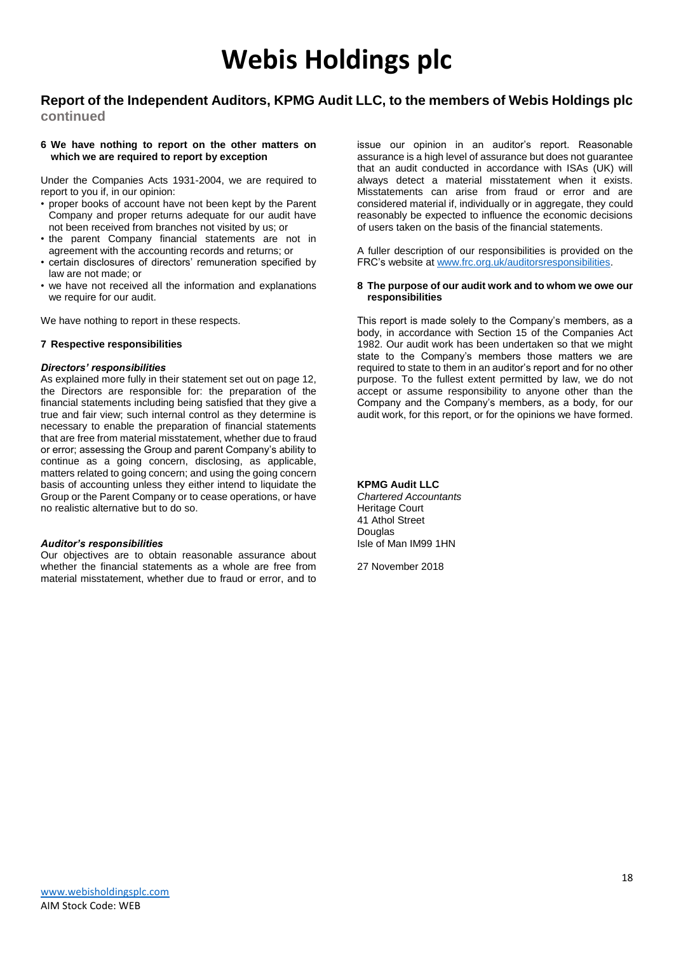### **Report of the Independent Auditors, KPMG Audit LLC, to the members of Webis Holdings plc**

**continued**

#### **6 We have nothing to report on the other matters on which we are required to report by exception**

Under the Companies Acts 1931-2004, we are required to report to you if, in our opinion:

- proper books of account have not been kept by the Parent Company and proper returns adequate for our audit have not been received from branches not visited by us; or
- the parent Company financial statements are not in agreement with the accounting records and returns; or
- certain disclosures of directors' remuneration specified by law are not made; or
- we have not received all the information and explanations we require for our audit.

We have nothing to report in these respects.

#### **7 Respective responsibilities**

#### *Directors' responsibilities*

As explained more fully in their statement set out on page 12, the Directors are responsible for: the preparation of the financial statements including being satisfied that they give a true and fair view; such internal control as they determine is necessary to enable the preparation of financial statements that are free from material misstatement, whether due to fraud or error; assessing the Group and parent Company's ability to continue as a going concern, disclosing, as applicable, matters related to going concern; and using the going concern basis of accounting unless they either intend to liquidate the Group or the Parent Company or to cease operations, or have no realistic alternative but to do so.

#### *Auditor's responsibilities*

Our objectives are to obtain reasonable assurance about whether the financial statements as a whole are free from material misstatement, whether due to fraud or error, and to

issue our opinion in an auditor's report. Reasonable assurance is a high level of assurance but does not guarantee that an audit conducted in accordance with ISAs (UK) will always detect a material misstatement when it exists. Misstatements can arise from fraud or error and are considered material if, individually or in aggregate, they could reasonably be expected to influence the economic decisions of users taken on the basis of the financial statements.

A fuller description of our responsibilities is provided on the FRC's website at [www.frc.org.uk/auditorsresponsibilities.](http://www.frc.org.uk/auditorsresponsibilities)

#### **8 The purpose of our audit work and to whom we owe our responsibilities**

This report is made solely to the Company's members, as a body, in accordance with Section 15 of the Companies Act 1982. Our audit work has been undertaken so that we might state to the Company's members those matters we are required to state to them in an auditor's report and for no other purpose. To the fullest extent permitted by law, we do not accept or assume responsibility to anyone other than the Company and the Company's members, as a body, for our audit work, for this report, or for the opinions we have formed.

#### **KPMG Audit LLC**

*Chartered Accountants* Heritage Court 41 Athol Street **Douglas** Isle of Man IM99 1HN

27 November 2018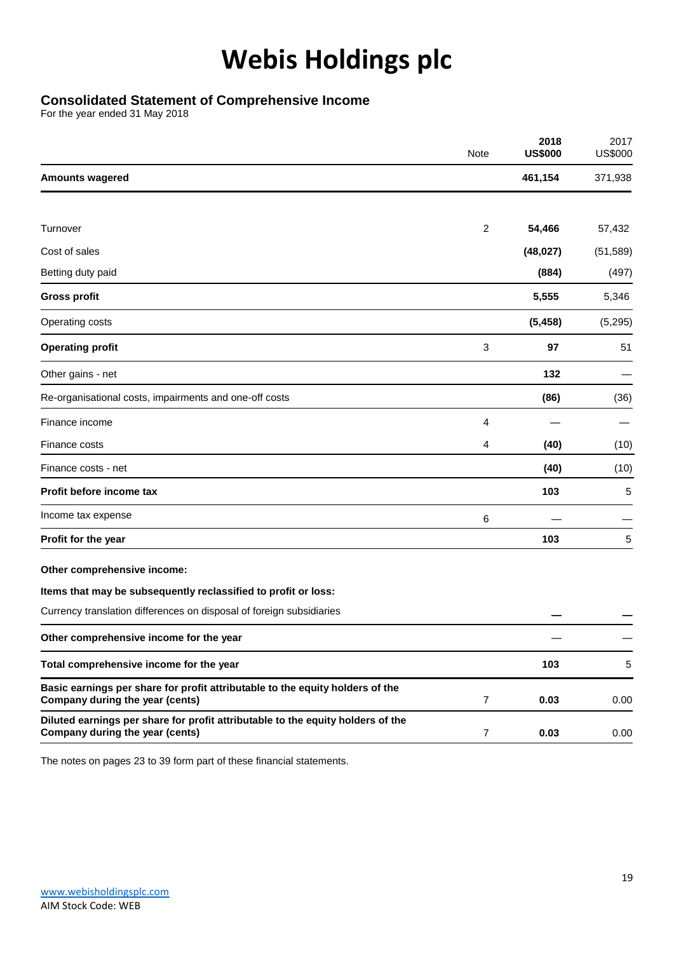### **Consolidated Statement of Comprehensive Income**

For the year ended 31 May 2018

|                                                                                                                    | Note           | 2018<br><b>US\$000</b> | 2017<br><b>US\$000</b> |
|--------------------------------------------------------------------------------------------------------------------|----------------|------------------------|------------------------|
| <b>Amounts wagered</b>                                                                                             |                | 461,154                | 371,938                |
|                                                                                                                    |                |                        |                        |
| Turnover                                                                                                           | $\overline{2}$ | 54,466                 | 57,432                 |
| Cost of sales                                                                                                      |                | (48, 027)              | (51, 589)              |
| Betting duty paid                                                                                                  |                | (884)                  | (497)                  |
| <b>Gross profit</b>                                                                                                |                | 5,555                  | 5,346                  |
| Operating costs                                                                                                    |                | (5, 458)               | (5,295)                |
| <b>Operating profit</b>                                                                                            | 3              | 97                     | 51                     |
| Other gains - net                                                                                                  |                | 132                    |                        |
| Re-organisational costs, impairments and one-off costs                                                             |                | (86)                   | (36)                   |
| Finance income                                                                                                     | 4              |                        |                        |
| Finance costs                                                                                                      | 4              | (40)                   | (10)                   |
| Finance costs - net                                                                                                |                | (40)                   | (10)                   |
| Profit before income tax                                                                                           |                | 103                    | 5                      |
| Income tax expense                                                                                                 | $\,6$          |                        |                        |
| Profit for the year                                                                                                |                | 103                    | 5                      |
| Other comprehensive income:                                                                                        |                |                        |                        |
| Items that may be subsequently reclassified to profit or loss:                                                     |                |                        |                        |
| Currency translation differences on disposal of foreign subsidiaries                                               |                |                        |                        |
| Other comprehensive income for the year                                                                            |                |                        |                        |
| Total comprehensive income for the year                                                                            |                | 103                    | 5                      |
| Basic earnings per share for profit attributable to the equity holders of the<br>Company during the year (cents)   | $\overline{7}$ | 0.03                   | 0.00                   |
| Diluted earnings per share for profit attributable to the equity holders of the<br>Company during the year (cents) | $\overline{7}$ | 0.03                   | 0.00                   |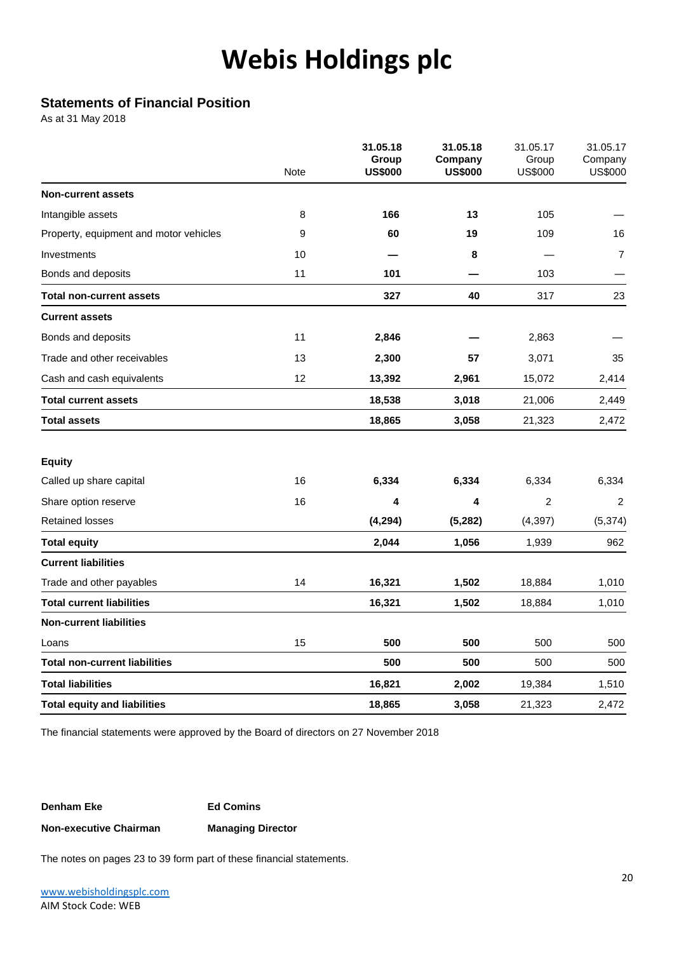### **Statements of Financial Position**

As at 31 May 2018

| <b>Non-current assets</b>                   | 166      |          |                |                |
|---------------------------------------------|----------|----------|----------------|----------------|
|                                             |          |          |                |                |
| Intangible assets<br>8                      |          | 13       | 105            |                |
| 9<br>Property, equipment and motor vehicles | 60       | 19       | 109            | 16             |
| 10<br>Investments                           |          | 8        |                | $\overline{7}$ |
| 11<br>Bonds and deposits                    | 101      |          | 103            |                |
| <b>Total non-current assets</b>             | 327      | 40       | 317            | 23             |
| <b>Current assets</b>                       |          |          |                |                |
| Bonds and deposits<br>11                    | 2,846    |          | 2,863          |                |
| Trade and other receivables<br>13           | 2,300    | 57       | 3,071          | 35             |
| 12<br>Cash and cash equivalents             | 13,392   | 2,961    | 15,072         | 2,414          |
| <b>Total current assets</b>                 | 18,538   | 3,018    | 21,006         | 2,449          |
| <b>Total assets</b>                         | 18,865   | 3,058    | 21,323         | 2,472          |
| <b>Equity</b>                               |          |          |                |                |
| 16<br>Called up share capital               | 6,334    | 6,334    | 6,334          | 6,334          |
| 16<br>Share option reserve                  | 4        | 4        | $\overline{2}$ | $\sqrt{2}$     |
| <b>Retained losses</b>                      | (4, 294) | (5, 282) | (4, 397)       | (5, 374)       |
| <b>Total equity</b>                         | 2,044    | 1,056    | 1,939          | 962            |
| <b>Current liabilities</b>                  |          |          |                |                |
| Trade and other payables<br>14              | 16,321   | 1,502    | 18,884         | 1,010          |
| <b>Total current liabilities</b>            | 16,321   | 1,502    | 18,884         | 1,010          |
| <b>Non-current liabilities</b>              |          |          |                |                |
| 15<br>Loans                                 | 500      | 500      | 500            | 500            |
| <b>Total non-current liabilities</b>        | 500      | 500      | 500            | 500            |
| <b>Total liabilities</b>                    | 16,821   | 2,002    | 19,384         | 1,510          |
| <b>Total equity and liabilities</b>         | 18,865   | 3,058    | 21,323         | 2,472          |

The financial statements were approved by the Board of directors on 27 November 2018

#### **Denham Eke Ed Comins**

#### **Non-executive Chairman Managing Director**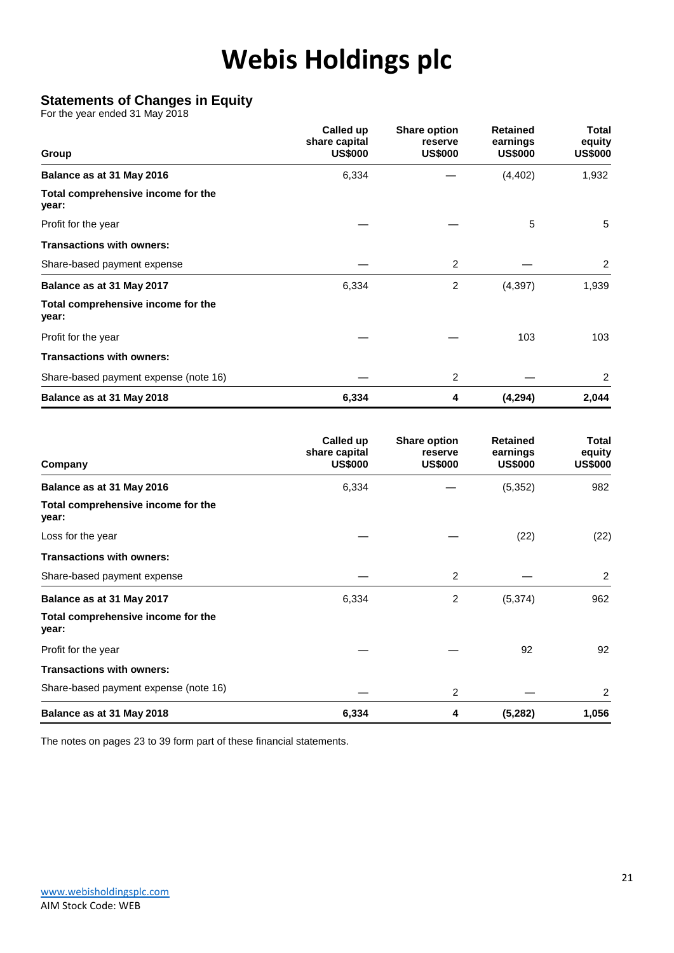### **Statements of Changes in Equity**

For the year ended 31 May 2018

| Group                                       | Called up<br>share capital<br><b>US\$000</b> | <b>Share option</b><br>reserve<br><b>US\$000</b> | <b>Retained</b><br>earnings<br><b>US\$000</b> | Total<br>equity<br><b>US\$000</b> |
|---------------------------------------------|----------------------------------------------|--------------------------------------------------|-----------------------------------------------|-----------------------------------|
| Balance as at 31 May 2016                   | 6,334                                        |                                                  | (4, 402)                                      | 1,932                             |
| Total comprehensive income for the<br>year: |                                              |                                                  |                                               |                                   |
| Profit for the year                         |                                              |                                                  | 5                                             | 5                                 |
| <b>Transactions with owners:</b>            |                                              |                                                  |                                               |                                   |
| Share-based payment expense                 |                                              | 2                                                |                                               | 2                                 |
| Balance as at 31 May 2017                   | 6,334                                        | $\overline{c}$                                   | (4, 397)                                      | 1,939                             |
| Total comprehensive income for the<br>year: |                                              |                                                  |                                               |                                   |
| Profit for the year                         |                                              |                                                  | 103                                           | 103                               |
| <b>Transactions with owners:</b>            |                                              |                                                  |                                               |                                   |
| Share-based payment expense (note 16)       |                                              | 2                                                |                                               | 2                                 |
| Balance as at 31 May 2018                   | 6,334                                        | 4                                                | (4,294)                                       | 2,044                             |

| Company                                     | Called up<br>share capital<br><b>US\$000</b> | <b>Share option</b><br>reserve<br><b>US\$000</b> | <b>Retained</b><br>earnings<br><b>US\$000</b> | <b>Total</b><br>equity<br><b>US\$000</b> |
|---------------------------------------------|----------------------------------------------|--------------------------------------------------|-----------------------------------------------|------------------------------------------|
| Balance as at 31 May 2016                   | 6,334                                        |                                                  | (5, 352)                                      | 982                                      |
| Total comprehensive income for the<br>year: |                                              |                                                  |                                               |                                          |
| Loss for the year                           |                                              |                                                  | (22)                                          | (22)                                     |
| <b>Transactions with owners:</b>            |                                              |                                                  |                                               |                                          |
| Share-based payment expense                 |                                              | 2                                                |                                               | $\overline{2}$                           |
| Balance as at 31 May 2017                   | 6,334                                        | 2                                                | (5, 374)                                      | 962                                      |
| Total comprehensive income for the<br>year: |                                              |                                                  |                                               |                                          |
| Profit for the year                         |                                              |                                                  | 92                                            | 92                                       |
| <b>Transactions with owners:</b>            |                                              |                                                  |                                               |                                          |
| Share-based payment expense (note 16)       |                                              | 2                                                |                                               | 2                                        |
| Balance as at 31 May 2018                   | 6,334                                        | 4                                                | (5,282)                                       | 1,056                                    |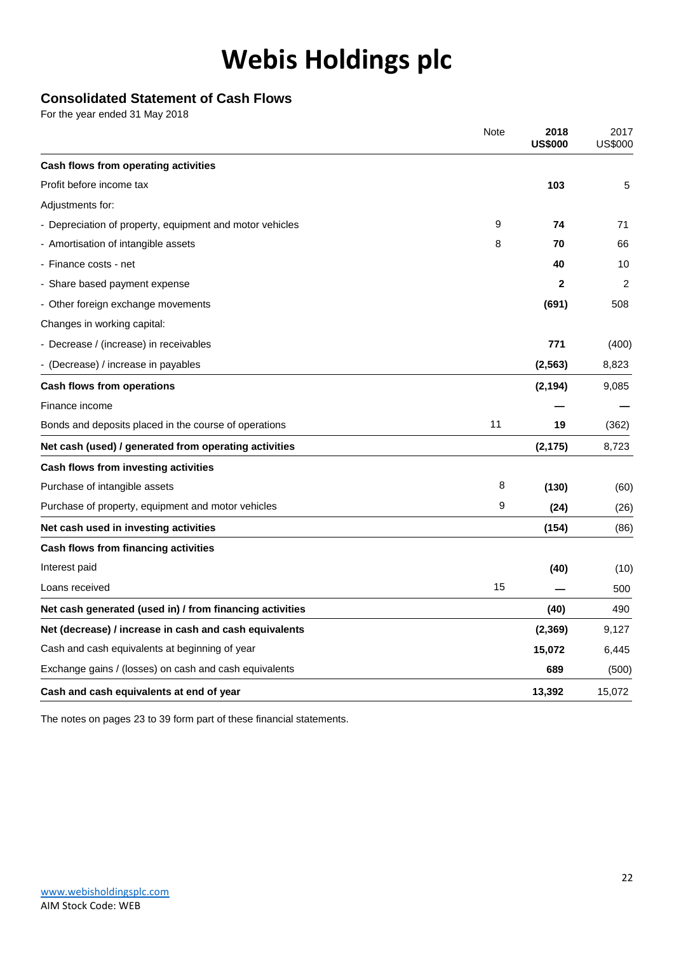### **Consolidated Statement of Cash Flows**

For the year ended 31 May 2018

|                                                          | Note | 2018<br><b>US\$000</b> | 2017<br><b>US\$000</b> |
|----------------------------------------------------------|------|------------------------|------------------------|
| Cash flows from operating activities                     |      |                        |                        |
| Profit before income tax                                 |      | 103                    | 5                      |
| Adjustments for:                                         |      |                        |                        |
| - Depreciation of property, equipment and motor vehicles | 9    | 74                     | 71                     |
| - Amortisation of intangible assets                      | 8    | 70                     | 66                     |
| - Finance costs - net                                    |      | 40                     | 10                     |
| - Share based payment expense                            |      | $\mathbf{2}$           | 2                      |
| - Other foreign exchange movements                       |      | (691)                  | 508                    |
| Changes in working capital:                              |      |                        |                        |
| - Decrease / (increase) in receivables                   |      | 771                    | (400)                  |
| - (Decrease) / increase in payables                      |      | (2, 563)               | 8,823                  |
| <b>Cash flows from operations</b>                        |      | (2, 194)               | 9,085                  |
| Finance income                                           |      |                        |                        |
| Bonds and deposits placed in the course of operations    | 11   | 19                     | (362)                  |
| Net cash (used) / generated from operating activities    |      | (2, 175)               | 8,723                  |
| Cash flows from investing activities                     |      |                        |                        |
| Purchase of intangible assets                            | 8    | (130)                  | (60)                   |
| Purchase of property, equipment and motor vehicles       | 9    | (24)                   | (26)                   |
| Net cash used in investing activities                    |      | (154)                  | (86)                   |
| Cash flows from financing activities                     |      |                        |                        |
| Interest paid                                            |      | (40)                   | (10)                   |
| Loans received                                           | 15   |                        | 500                    |
| Net cash generated (used in) / from financing activities |      | (40)                   | 490                    |
| Net (decrease) / increase in cash and cash equivalents   |      | (2,369)                | 9,127                  |
| Cash and cash equivalents at beginning of year           |      | 15,072                 | 6,445                  |
| Exchange gains / (losses) on cash and cash equivalents   |      | 689                    | (500)                  |
| Cash and cash equivalents at end of year                 |      | 13,392                 | 15,072                 |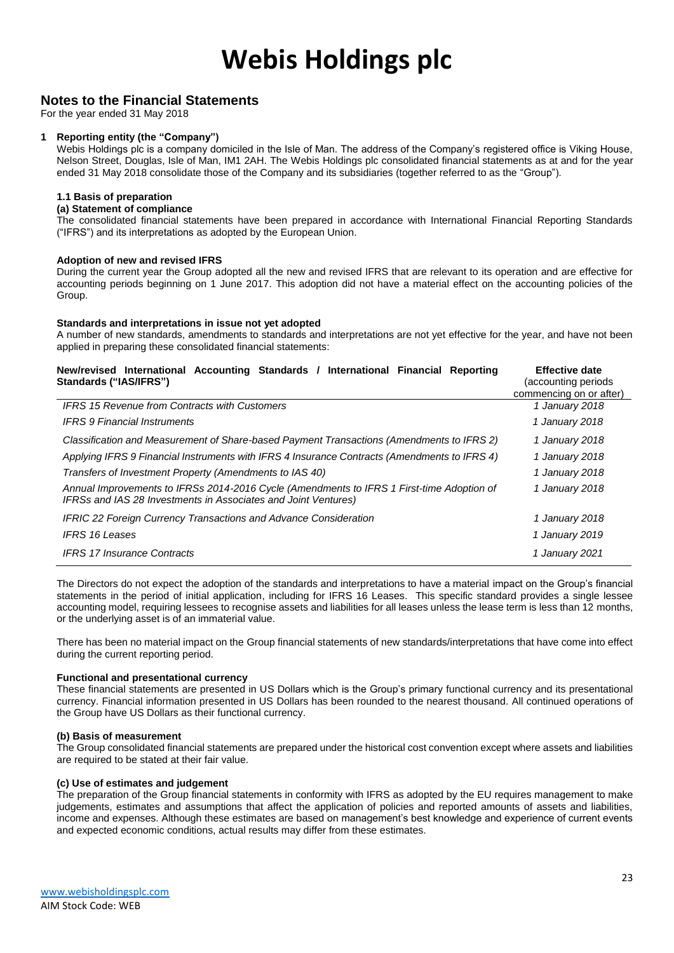#### **Notes to the Financial Statements**

For the year ended 31 May 2018

#### **1 Reporting entity (the "Company")**

Webis Holdings plc is a company domiciled in the Isle of Man. The address of the Company's registered office is Viking House, Nelson Street, Douglas, Isle of Man, IM1 2AH. The Webis Holdings plc consolidated financial statements as at and for the year ended 31 May 2018 consolidate those of the Company and its subsidiaries (together referred to as the "Group").

#### **1.1 Basis of preparation**

#### **(a) Statement of compliance**

The consolidated financial statements have been prepared in accordance with International Financial Reporting Standards ("IFRS") and its interpretations as adopted by the European Union.

#### **Adoption of new and revised IFRS**

During the current year the Group adopted all the new and revised IFRS that are relevant to its operation and are effective for accounting periods beginning on 1 June 2017. This adoption did not have a material effect on the accounting policies of the Group.

#### **Standards and interpretations in issue not yet adopted**

A number of new standards, amendments to standards and interpretations are not yet effective for the year, and have not been applied in preparing these consolidated financial statements:

| New/revised International Accounting Standards / International Financial Reporting<br>Standards ("IAS/IFRS")                                                | <b>Effective date</b><br>(accounting periods)<br>commencing on or after) |
|-------------------------------------------------------------------------------------------------------------------------------------------------------------|--------------------------------------------------------------------------|
| <b>IFRS 15 Revenue from Contracts with Customers</b>                                                                                                        | 1 January 2018                                                           |
| <b>IFRS 9 Financial Instruments</b>                                                                                                                         | 1 January 2018                                                           |
| Classification and Measurement of Share-based Payment Transactions (Amendments to IFRS 2)                                                                   | 1 January 2018                                                           |
| Applying IFRS 9 Financial Instruments with IFRS 4 Insurance Contracts (Amendments to IFRS 4)                                                                | 1 January 2018                                                           |
| Transfers of Investment Property (Amendments to IAS 40)                                                                                                     | 1 January 2018                                                           |
| Annual Improvements to IFRSs 2014-2016 Cycle (Amendments to IFRS 1 First-time Adoption of<br>IFRSs and IAS 28 Investments in Associates and Joint Ventures) | 1 January 2018                                                           |
| IFRIC 22 Foreign Currency Transactions and Advance Consideration                                                                                            | 1 January 2018                                                           |
| <b>IFRS 16 Leases</b>                                                                                                                                       | 1 January 2019                                                           |
| <b>IFRS 17 Insurance Contracts</b>                                                                                                                          | 1 January 2021                                                           |

The Directors do not expect the adoption of the standards and interpretations to have a material impact on the Group's financial statements in the period of initial application, including for IFRS 16 Leases. This specific standard provides a single lessee accounting model, requiring lessees to recognise assets and liabilities for all leases unless the lease term is less than 12 months, or the underlying asset is of an immaterial value.

There has been no material impact on the Group financial statements of new standards/interpretations that have come into effect during the current reporting period.

#### **Functional and presentational currency**

These financial statements are presented in US Dollars which is the Group's primary functional currency and its presentational currency. Financial information presented in US Dollars has been rounded to the nearest thousand. All continued operations of the Group have US Dollars as their functional currency.

#### **(b) Basis of measurement**

The Group consolidated financial statements are prepared under the historical cost convention except where assets and liabilities are required to be stated at their fair value.

#### **(c) Use of estimates and judgement**

The preparation of the Group financial statements in conformity with IFRS as adopted by the EU requires management to make judgements, estimates and assumptions that affect the application of policies and reported amounts of assets and liabilities, income and expenses. Although these estimates are based on management's best knowledge and experience of current events and expected economic conditions, actual results may differ from these estimates.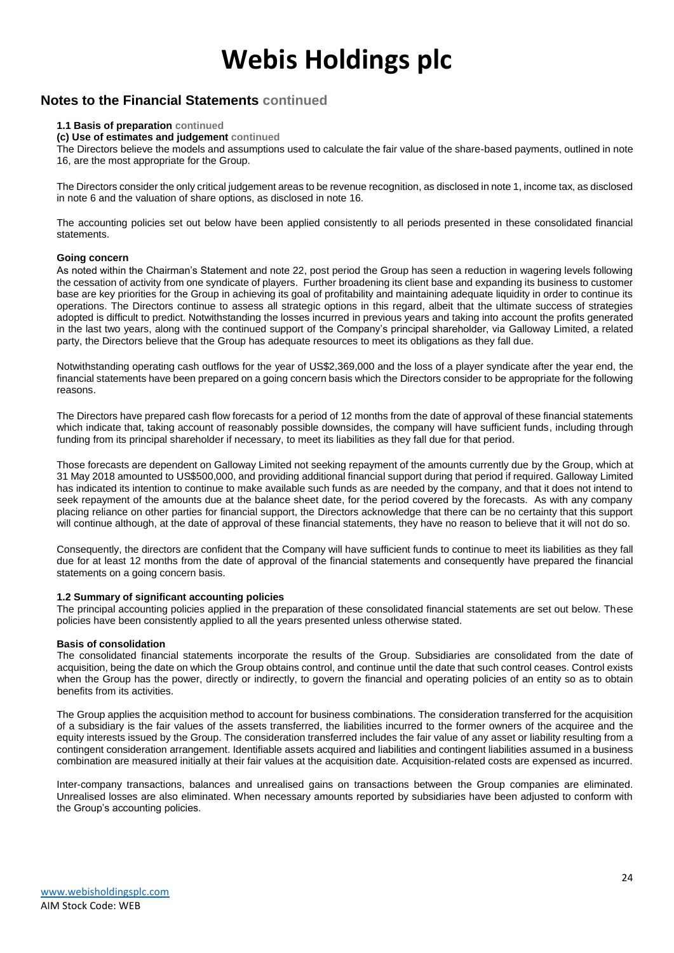### **Notes to the Financial Statements continued**

#### **1.1 Basis of preparation continued**

**(c) Use of estimates and judgement continued**

The Directors believe the models and assumptions used to calculate the fair value of the share-based payments, outlined in note 16, are the most appropriate for the Group.

The Directors consider the only critical judgement areas to be revenue recognition, as disclosed in note 1, income tax, as disclosed in note 6 and the valuation of share options, as disclosed in note 16.

The accounting policies set out below have been applied consistently to all periods presented in these consolidated financial statements.

#### **Going concern**

As noted within the Chairman's Statement and note 22, post period the Group has seen a reduction in wagering levels following the cessation of activity from one syndicate of players. Further broadening its client base and expanding its business to customer base are key priorities for the Group in achieving its goal of profitability and maintaining adequate liquidity in order to continue its operations. The Directors continue to assess all strategic options in this regard, albeit that the ultimate success of strategies adopted is difficult to predict. Notwithstanding the losses incurred in previous years and taking into account the profits generated in the last two years, along with the continued support of the Company's principal shareholder, via Galloway Limited, a related party, the Directors believe that the Group has adequate resources to meet its obligations as they fall due.

Notwithstanding operating cash outflows for the year of US\$2,369,000 and the loss of a player syndicate after the year end, the financial statements have been prepared on a going concern basis which the Directors consider to be appropriate for the following reasons.

The Directors have prepared cash flow forecasts for a period of 12 months from the date of approval of these financial statements which indicate that, taking account of reasonably possible downsides, the company will have sufficient funds, including through funding from its principal shareholder if necessary, to meet its liabilities as they fall due for that period.

Those forecasts are dependent on Galloway Limited not seeking repayment of the amounts currently due by the Group, which at 31 May 2018 amounted to US\$500,000, and providing additional financial support during that period if required. Galloway Limited has indicated its intention to continue to make available such funds as are needed by the company, and that it does not intend to seek repayment of the amounts due at the balance sheet date, for the period covered by the forecasts. As with any company placing reliance on other parties for financial support, the Directors acknowledge that there can be no certainty that this support will continue although, at the date of approval of these financial statements, they have no reason to believe that it will not do so.

Consequently, the directors are confident that the Company will have sufficient funds to continue to meet its liabilities as they fall due for at least 12 months from the date of approval of the financial statements and consequently have prepared the financial statements on a going concern basis.

#### **1.2 Summary of significant accounting policies**

The principal accounting policies applied in the preparation of these consolidated financial statements are set out below. These policies have been consistently applied to all the years presented unless otherwise stated.

#### **Basis of consolidation**

The consolidated financial statements incorporate the results of the Group. Subsidiaries are consolidated from the date of acquisition, being the date on which the Group obtains control, and continue until the date that such control ceases. Control exists when the Group has the power, directly or indirectly, to govern the financial and operating policies of an entity so as to obtain benefits from its activities.

The Group applies the acquisition method to account for business combinations. The consideration transferred for the acquisition of a subsidiary is the fair values of the assets transferred, the liabilities incurred to the former owners of the acquiree and the equity interests issued by the Group. The consideration transferred includes the fair value of any asset or liability resulting from a contingent consideration arrangement. Identifiable assets acquired and liabilities and contingent liabilities assumed in a business combination are measured initially at their fair values at the acquisition date. Acquisition-related costs are expensed as incurred.

Inter-company transactions, balances and unrealised gains on transactions between the Group companies are eliminated. Unrealised losses are also eliminated. When necessary amounts reported by subsidiaries have been adjusted to conform with the Group's accounting policies.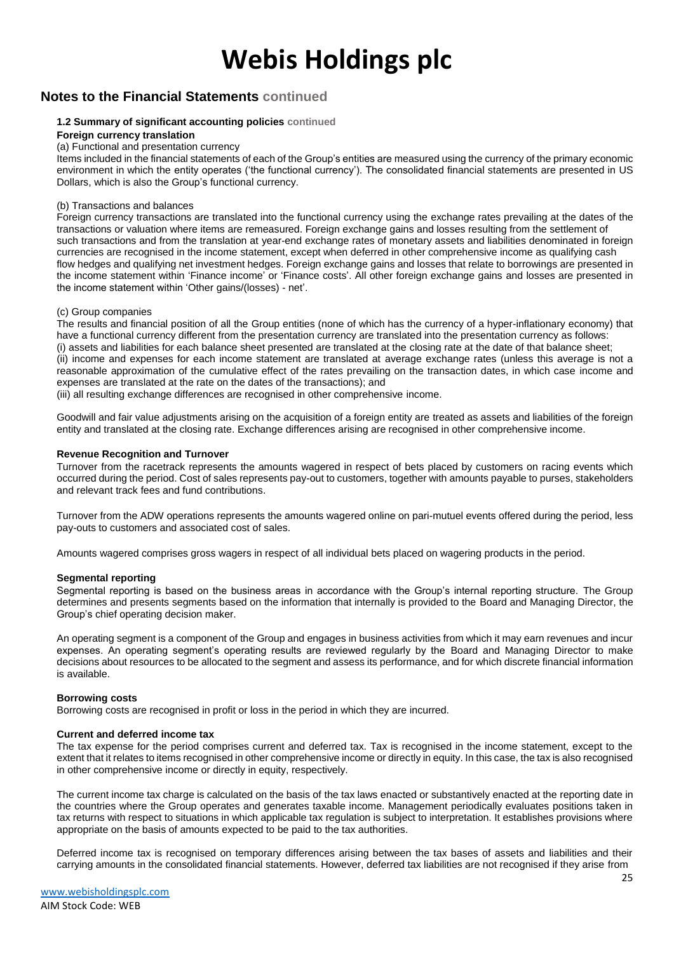### **Notes to the Financial Statements continued**

#### **1.2 Summary of significant accounting policies continued**

#### **Foreign currency translation**

#### (a) Functional and presentation currency

Items included in the financial statements of each of the Group's entities are measured using the currency of the primary economic environment in which the entity operates ('the functional currency'). The consolidated financial statements are presented in US Dollars, which is also the Group's functional currency.

#### (b) Transactions and balances

Foreign currency transactions are translated into the functional currency using the exchange rates prevailing at the dates of the transactions or valuation where items are remeasured. Foreign exchange gains and losses resulting from the settlement of such transactions and from the translation at year-end exchange rates of monetary assets and liabilities denominated in foreign currencies are recognised in the income statement, except when deferred in other comprehensive income as qualifying cash flow hedges and qualifying net investment hedges. Foreign exchange gains and losses that relate to borrowings are presented in the income statement within 'Finance income' or 'Finance costs'. All other foreign exchange gains and losses are presented in the income statement within 'Other gains/(losses) - net'.

#### (c) Group companies

The results and financial position of all the Group entities (none of which has the currency of a hyper-inflationary economy) that have a functional currency different from the presentation currency are translated into the presentation currency as follows: (i) assets and liabilities for each balance sheet presented are translated at the closing rate at the date of that balance sheet; (ii) income and expenses for each income statement are translated at average exchange rates (unless this average is not a reasonable approximation of the cumulative effect of the rates prevailing on the transaction dates, in which case income and expenses are translated at the rate on the dates of the transactions); and

(iii) all resulting exchange differences are recognised in other comprehensive income.

Goodwill and fair value adjustments arising on the acquisition of a foreign entity are treated as assets and liabilities of the foreign entity and translated at the closing rate. Exchange differences arising are recognised in other comprehensive income.

#### **Revenue Recognition and Turnover**

Turnover from the racetrack represents the amounts wagered in respect of bets placed by customers on racing events which occurred during the period. Cost of sales represents pay-out to customers, together with amounts payable to purses, stakeholders and relevant track fees and fund contributions.

Turnover from the ADW operations represents the amounts wagered online on pari-mutuel events offered during the period, less pay-outs to customers and associated cost of sales.

Amounts wagered comprises gross wagers in respect of all individual bets placed on wagering products in the period.

#### **Segmental reporting**

Segmental reporting is based on the business areas in accordance with the Group's internal reporting structure. The Group determines and presents segments based on the information that internally is provided to the Board and Managing Director, the Group's chief operating decision maker.

An operating segment is a component of the Group and engages in business activities from which it may earn revenues and incur expenses. An operating segment's operating results are reviewed regularly by the Board and Managing Director to make decisions about resources to be allocated to the segment and assess its performance, and for which discrete financial information is available.

#### **Borrowing costs**

Borrowing costs are recognised in profit or loss in the period in which they are incurred.

#### **Current and deferred income tax**

The tax expense for the period comprises current and deferred tax. Tax is recognised in the income statement, except to the extent that it relates to items recognised in other comprehensive income or directly in equity. In this case, the tax is also recognised in other comprehensive income or directly in equity, respectively.

The current income tax charge is calculated on the basis of the tax laws enacted or substantively enacted at the reporting date in the countries where the Group operates and generates taxable income. Management periodically evaluates positions taken in tax returns with respect to situations in which applicable tax regulation is subject to interpretation. It establishes provisions where appropriate on the basis of amounts expected to be paid to the tax authorities.

Deferred income tax is recognised on temporary differences arising between the tax bases of assets and liabilities and their carrying amounts in the consolidated financial statements. However, deferred tax liabilities are not recognised if they arise from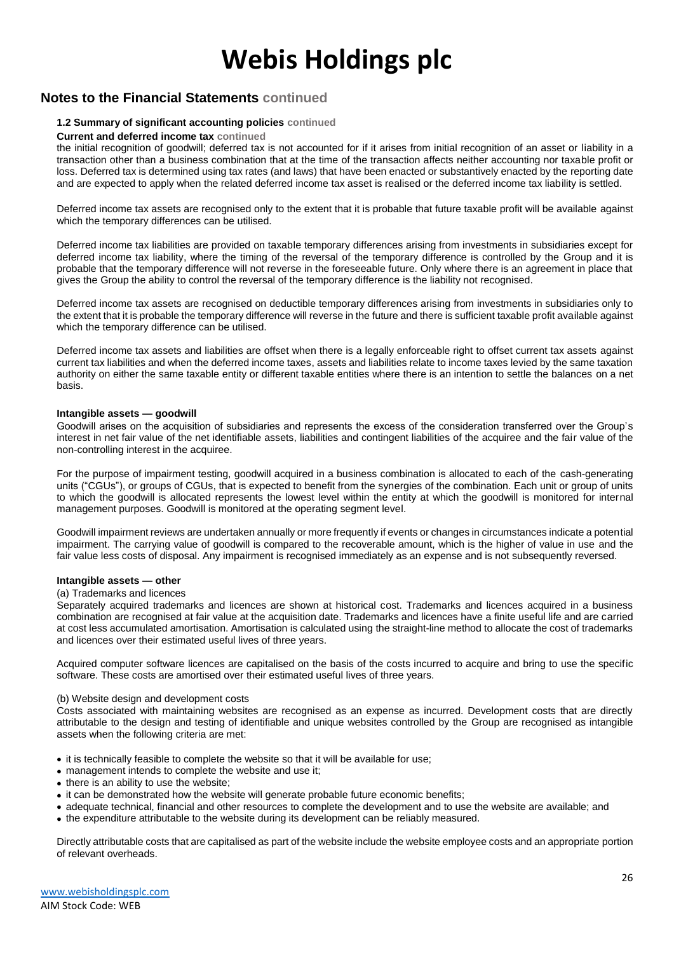### **Notes to the Financial Statements continued**

#### **1.2 Summary of significant accounting policies continued**

#### **Current and deferred income tax continued**

the initial recognition of goodwill; deferred tax is not accounted for if it arises from initial recognition of an asset or liability in a transaction other than a business combination that at the time of the transaction affects neither accounting nor taxable profit or loss. Deferred tax is determined using tax rates (and laws) that have been enacted or substantively enacted by the reporting date and are expected to apply when the related deferred income tax asset is realised or the deferred income tax liability is settled.

Deferred income tax assets are recognised only to the extent that it is probable that future taxable profit will be available against which the temporary differences can be utilised.

Deferred income tax liabilities are provided on taxable temporary differences arising from investments in subsidiaries except for deferred income tax liability, where the timing of the reversal of the temporary difference is controlled by the Group and it is probable that the temporary difference will not reverse in the foreseeable future. Only where there is an agreement in place that gives the Group the ability to control the reversal of the temporary difference is the liability not recognised.

Deferred income tax assets are recognised on deductible temporary differences arising from investments in subsidiaries only to the extent that it is probable the temporary difference will reverse in the future and there is sufficient taxable profit available against which the temporary difference can be utilised.

Deferred income tax assets and liabilities are offset when there is a legally enforceable right to offset current tax assets against current tax liabilities and when the deferred income taxes, assets and liabilities relate to income taxes levied by the same taxation authority on either the same taxable entity or different taxable entities where there is an intention to settle the balances on a net basis.

#### **Intangible assets — goodwill**

Goodwill arises on the acquisition of subsidiaries and represents the excess of the consideration transferred over the Group's interest in net fair value of the net identifiable assets, liabilities and contingent liabilities of the acquiree and the fair value of the non-controlling interest in the acquiree.

For the purpose of impairment testing, goodwill acquired in a business combination is allocated to each of the cash-generating units ("CGUs"), or groups of CGUs, that is expected to benefit from the synergies of the combination. Each unit or group of units to which the goodwill is allocated represents the lowest level within the entity at which the goodwill is monitored for internal management purposes. Goodwill is monitored at the operating segment level.

Goodwill impairment reviews are undertaken annually or more frequently if events or changes in circumstances indicate a potential impairment. The carrying value of goodwill is compared to the recoverable amount, which is the higher of value in use and the fair value less costs of disposal. Any impairment is recognised immediately as an expense and is not subsequently reversed.

#### **Intangible assets — other**

#### (a) Trademarks and licences

Separately acquired trademarks and licences are shown at historical cost. Trademarks and licences acquired in a business combination are recognised at fair value at the acquisition date. Trademarks and licences have a finite useful life and are carried at cost less accumulated amortisation. Amortisation is calculated using the straight-line method to allocate the cost of trademarks and licences over their estimated useful lives of three years.

Acquired computer software licences are capitalised on the basis of the costs incurred to acquire and bring to use the specific software. These costs are amortised over their estimated useful lives of three years.

#### (b) Website design and development costs

Costs associated with maintaining websites are recognised as an expense as incurred. Development costs that are directly attributable to the design and testing of identifiable and unique websites controlled by the Group are recognised as intangible assets when the following criteria are met:

- it is technically feasible to complete the website so that it will be available for use;
- management intends to complete the website and use it;
- there is an ability to use the website;
- it can be demonstrated how the website will generate probable future economic benefits;
- adequate technical, financial and other resources to complete the development and to use the website are available; and
- the expenditure attributable to the website during its development can be reliably measured.

Directly attributable costs that are capitalised as part of the website include the website employee costs and an appropriate portion of relevant overheads.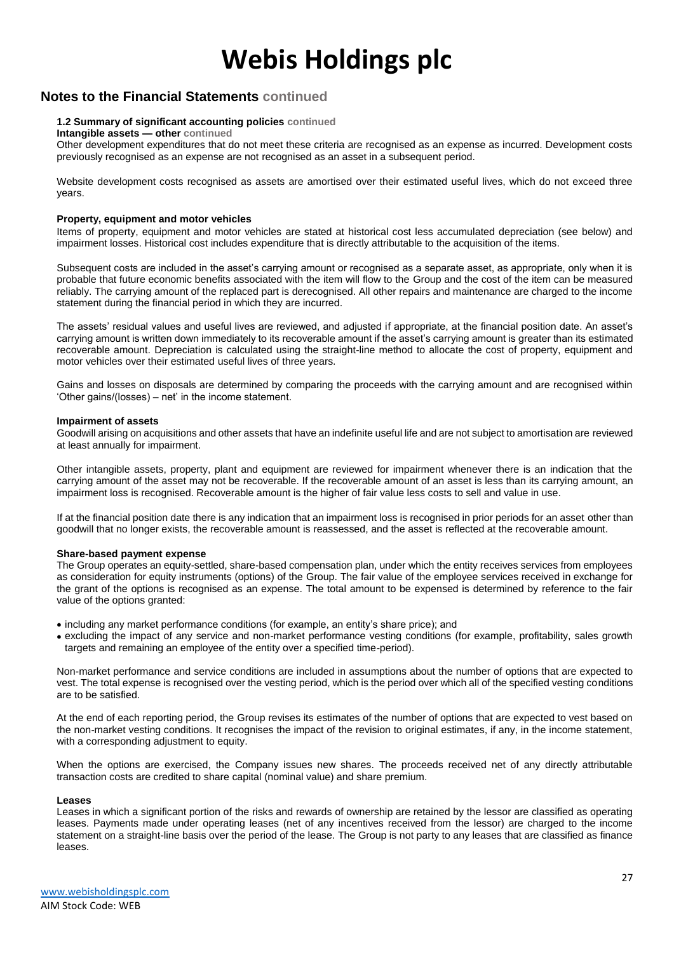### **Notes to the Financial Statements continued**

#### **1.2 Summary of significant accounting policies continued**

**Intangible assets — other continued**

Other development expenditures that do not meet these criteria are recognised as an expense as incurred. Development costs previously recognised as an expense are not recognised as an asset in a subsequent period.

Website development costs recognised as assets are amortised over their estimated useful lives, which do not exceed three years.

#### **Property, equipment and motor vehicles**

Items of property, equipment and motor vehicles are stated at historical cost less accumulated depreciation (see below) and impairment losses. Historical cost includes expenditure that is directly attributable to the acquisition of the items.

Subsequent costs are included in the asset's carrying amount or recognised as a separate asset, as appropriate, only when it is probable that future economic benefits associated with the item will flow to the Group and the cost of the item can be measured reliably. The carrying amount of the replaced part is derecognised. All other repairs and maintenance are charged to the income statement during the financial period in which they are incurred.

The assets' residual values and useful lives are reviewed, and adjusted if appropriate, at the financial position date. An asset's carrying amount is written down immediately to its recoverable amount if the asset's carrying amount is greater than its estimated recoverable amount. Depreciation is calculated using the straight-line method to allocate the cost of property, equipment and motor vehicles over their estimated useful lives of three years.

Gains and losses on disposals are determined by comparing the proceeds with the carrying amount and are recognised within 'Other gains/(losses) – net' in the income statement.

#### **Impairment of assets**

Goodwill arising on acquisitions and other assets that have an indefinite useful life and are not subject to amortisation are reviewed at least annually for impairment.

Other intangible assets, property, plant and equipment are reviewed for impairment whenever there is an indication that the carrying amount of the asset may not be recoverable. If the recoverable amount of an asset is less than its carrying amount, an impairment loss is recognised. Recoverable amount is the higher of fair value less costs to sell and value in use.

If at the financial position date there is any indication that an impairment loss is recognised in prior periods for an asset other than goodwill that no longer exists, the recoverable amount is reassessed, and the asset is reflected at the recoverable amount.

#### **Share-based payment expense**

The Group operates an equity-settled, share-based compensation plan, under which the entity receives services from employees as consideration for equity instruments (options) of the Group. The fair value of the employee services received in exchange for the grant of the options is recognised as an expense. The total amount to be expensed is determined by reference to the fair value of the options granted:

- including any market performance conditions (for example, an entity's share price); and
- excluding the impact of any service and non-market performance vesting conditions (for example, profitability, sales growth targets and remaining an employee of the entity over a specified time-period).

Non-market performance and service conditions are included in assumptions about the number of options that are expected to vest. The total expense is recognised over the vesting period, which is the period over which all of the specified vesting conditions are to be satisfied.

At the end of each reporting period, the Group revises its estimates of the number of options that are expected to vest based on the non-market vesting conditions. It recognises the impact of the revision to original estimates, if any, in the income statement, with a corresponding adjustment to equity.

When the options are exercised, the Company issues new shares. The proceeds received net of any directly attributable transaction costs are credited to share capital (nominal value) and share premium.

#### **Leases**

Leases in which a significant portion of the risks and rewards of ownership are retained by the lessor are classified as operating leases. Payments made under operating leases (net of any incentives received from the lessor) are charged to the income statement on a straight-line basis over the period of the lease. The Group is not party to any leases that are classified as finance leases.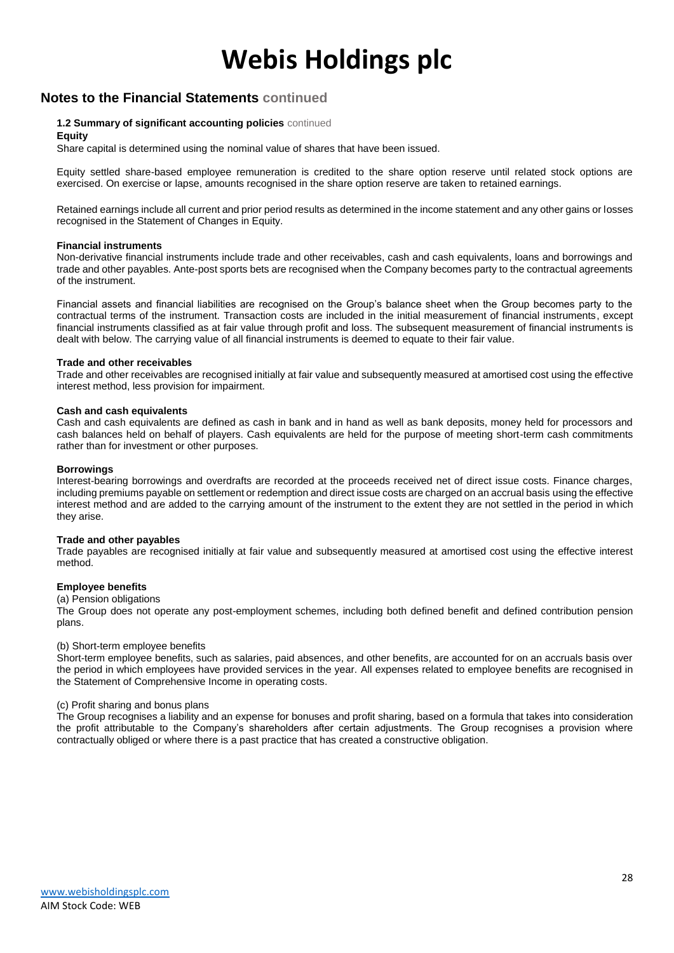### **Notes to the Financial Statements continued**

#### **1.2 Summary of significant accounting policies** continued

#### **Equity**

Share capital is determined using the nominal value of shares that have been issued.

Equity settled share-based employee remuneration is credited to the share option reserve until related stock options are exercised. On exercise or lapse, amounts recognised in the share option reserve are taken to retained earnings.

Retained earnings include all current and prior period results as determined in the income statement and any other gains or losses recognised in the Statement of Changes in Equity.

#### **Financial instruments**

Non-derivative financial instruments include trade and other receivables, cash and cash equivalents, loans and borrowings and trade and other payables. Ante-post sports bets are recognised when the Company becomes party to the contractual agreements of the instrument.

Financial assets and financial liabilities are recognised on the Group's balance sheet when the Group becomes party to the contractual terms of the instrument. Transaction costs are included in the initial measurement of financial instruments, except financial instruments classified as at fair value through profit and loss. The subsequent measurement of financial instruments is dealt with below. The carrying value of all financial instruments is deemed to equate to their fair value.

#### **Trade and other receivables**

Trade and other receivables are recognised initially at fair value and subsequently measured at amortised cost using the effective interest method, less provision for impairment.

#### **Cash and cash equivalents**

Cash and cash equivalents are defined as cash in bank and in hand as well as bank deposits, money held for processors and cash balances held on behalf of players. Cash equivalents are held for the purpose of meeting short-term cash commitments rather than for investment or other purposes.

#### **Borrowings**

Interest-bearing borrowings and overdrafts are recorded at the proceeds received net of direct issue costs. Finance charges, including premiums payable on settlement or redemption and direct issue costs are charged on an accrual basis using the effective interest method and are added to the carrying amount of the instrument to the extent they are not settled in the period in which they arise.

#### **Trade and other payables**

Trade payables are recognised initially at fair value and subsequently measured at amortised cost using the effective interest method.

#### **Employee benefits**

#### (a) Pension obligations

The Group does not operate any post-employment schemes, including both defined benefit and defined contribution pension plans.

#### (b) Short-term employee benefits

Short-term employee benefits, such as salaries, paid absences, and other benefits, are accounted for on an accruals basis over the period in which employees have provided services in the year. All expenses related to employee benefits are recognised in the Statement of Comprehensive Income in operating costs.

#### (c) Profit sharing and bonus plans

The Group recognises a liability and an expense for bonuses and profit sharing, based on a formula that takes into consideration the profit attributable to the Company's shareholders after certain adjustments. The Group recognises a provision where contractually obliged or where there is a past practice that has created a constructive obligation.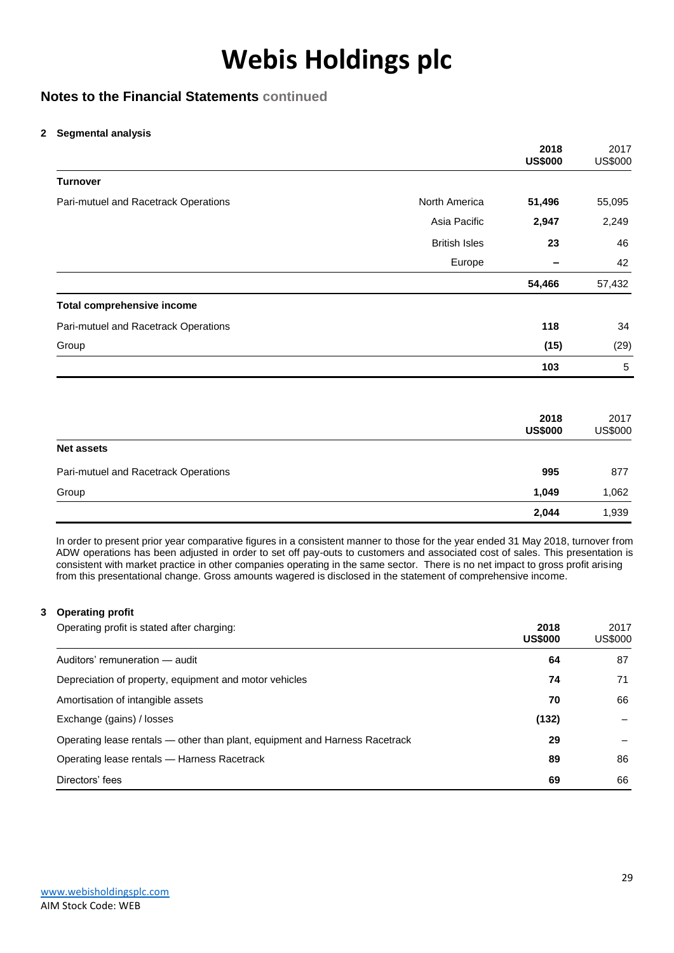### **Notes to the Financial Statements continued**

#### **2 Segmental analysis**

|                                      |                      | 2018<br><b>US\$000</b> | 2017<br><b>US\$000</b> |
|--------------------------------------|----------------------|------------------------|------------------------|
| <b>Turnover</b>                      |                      |                        |                        |
| Pari-mutuel and Racetrack Operations | North America        | 51,496                 | 55,095                 |
|                                      | Asia Pacific         | 2,947                  | 2,249                  |
|                                      | <b>British Isles</b> | 23                     | 46                     |
|                                      | Europe               |                        | 42                     |
|                                      |                      | 54,466                 | 57,432                 |
| <b>Total comprehensive income</b>    |                      |                        |                        |
| Pari-mutuel and Racetrack Operations |                      | 118                    | 34                     |
| Group                                |                      | (15)                   | (29)                   |
|                                      |                      | 103                    | $\sqrt{5}$             |
|                                      |                      | 2018<br><b>US\$000</b> | 2017<br><b>US\$000</b> |
| <b>Net assets</b>                    |                      |                        |                        |
| Pari-mutuel and Racetrack Operations |                      | 995                    | 877                    |
| Group                                |                      | 1,049                  | 1,062                  |
|                                      |                      | 2,044                  | 1,939                  |

In order to present prior year comparative figures in a consistent manner to those for the year ended 31 May 2018, turnover from ADW operations has been adjusted in order to set off pay-outs to customers and associated cost of sales. This presentation is consistent with market practice in other companies operating in the same sector. There is no net impact to gross profit arising from this presentational change. Gross amounts wagered is disclosed in the statement of comprehensive income.

#### **3 Operating profit**

| Operating profit is stated after charging:                                  | 2018<br><b>US\$000</b> | 2017<br><b>US\$000</b> |
|-----------------------------------------------------------------------------|------------------------|------------------------|
| Auditors' remuneration - audit                                              | 64                     | 87                     |
| Depreciation of property, equipment and motor vehicles                      | 74                     | 71                     |
| Amortisation of intangible assets                                           | 70                     | 66                     |
| Exchange (gains) / losses                                                   | (132)                  |                        |
| Operating lease rentals - other than plant, equipment and Harness Racetrack | 29                     |                        |
| Operating lease rentals — Harness Racetrack                                 | 89                     | 86                     |
| Directors' fees                                                             | 69                     | 66                     |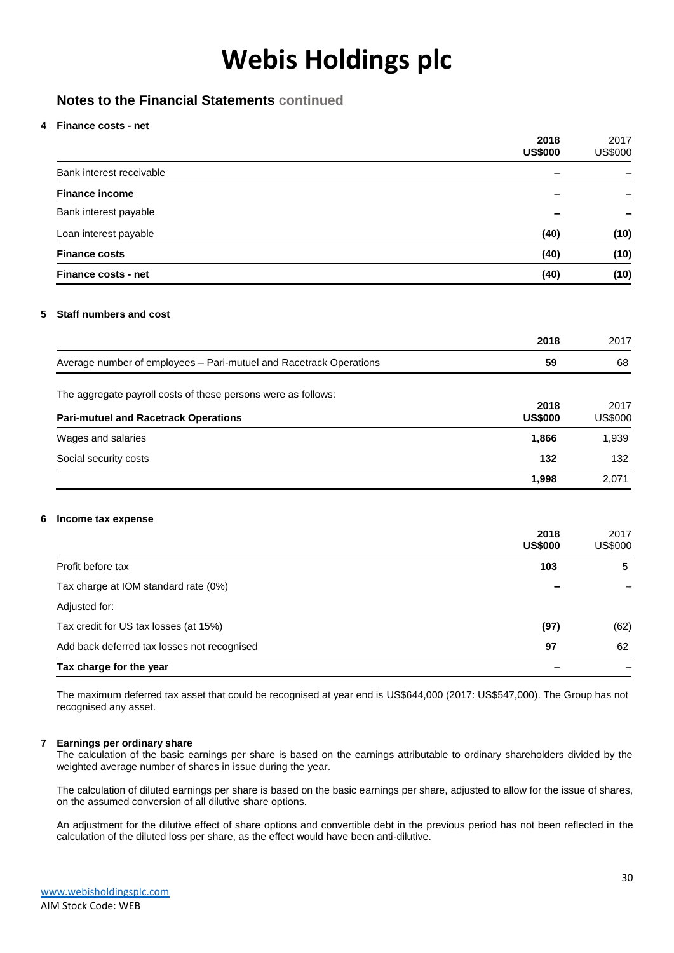### **Notes to the Financial Statements continued**

#### **4 Finance costs - net**

|   |                                                                    | 2018<br><b>US\$000</b>   | 2017<br><b>US\$000</b> |
|---|--------------------------------------------------------------------|--------------------------|------------------------|
|   | Bank interest receivable                                           | $\overline{\phantom{0}}$ |                        |
|   | <b>Finance income</b>                                              | $\overline{\phantom{0}}$ |                        |
|   | Bank interest payable                                              |                          |                        |
|   | Loan interest payable                                              | (40)                     | (10)                   |
|   | <b>Finance costs</b>                                               | (40)                     | (10)                   |
|   | <b>Finance costs - net</b>                                         | (40)                     | (10)                   |
| 5 | <b>Staff numbers and cost</b>                                      |                          |                        |
|   |                                                                    | 2018                     | 2017                   |
|   | Average number of employees - Pari-mutuel and Racetrack Operations | 59                       | 68                     |
|   | The aggregate payroll costs of these persons were as follows:      |                          |                        |
|   | <b>Pari-mutuel and Racetrack Operations</b>                        | 2018<br><b>US\$000</b>   | 2017<br><b>US\$000</b> |
|   | Wages and salaries                                                 | 1,866                    | 1,939                  |
|   | Social security costs                                              | 132                      | 132                    |
|   |                                                                    | 1,998                    | 2,071                  |
| 6 | Income tax expense                                                 |                          |                        |
|   |                                                                    | 2018<br><b>US\$000</b>   | 2017<br><b>US\$000</b> |
|   | Profit before tax                                                  | 103                      | 5                      |
|   | Tax charge at IOM standard rate (0%)                               |                          |                        |
|   | Adjusted for:                                                      |                          |                        |
|   | Tax credit for US tax losses (at 15%)                              | (97)                     | (62)                   |

Tax charge for the year

Add back deferred tax losses not recognised **97** 62

The maximum deferred tax asset that could be recognised at year end is US\$644,000 (2017: US\$547,000). The Group has not recognised any asset.

#### **7 Earnings per ordinary share**

The calculation of the basic earnings per share is based on the earnings attributable to ordinary shareholders divided by the weighted average number of shares in issue during the year.

The calculation of diluted earnings per share is based on the basic earnings per share, adjusted to allow for the issue of shares, on the assumed conversion of all dilutive share options.

An adjustment for the dilutive effect of share options and convertible debt in the previous period has not been reflected in the calculation of the diluted loss per share, as the effect would have been anti-dilutive.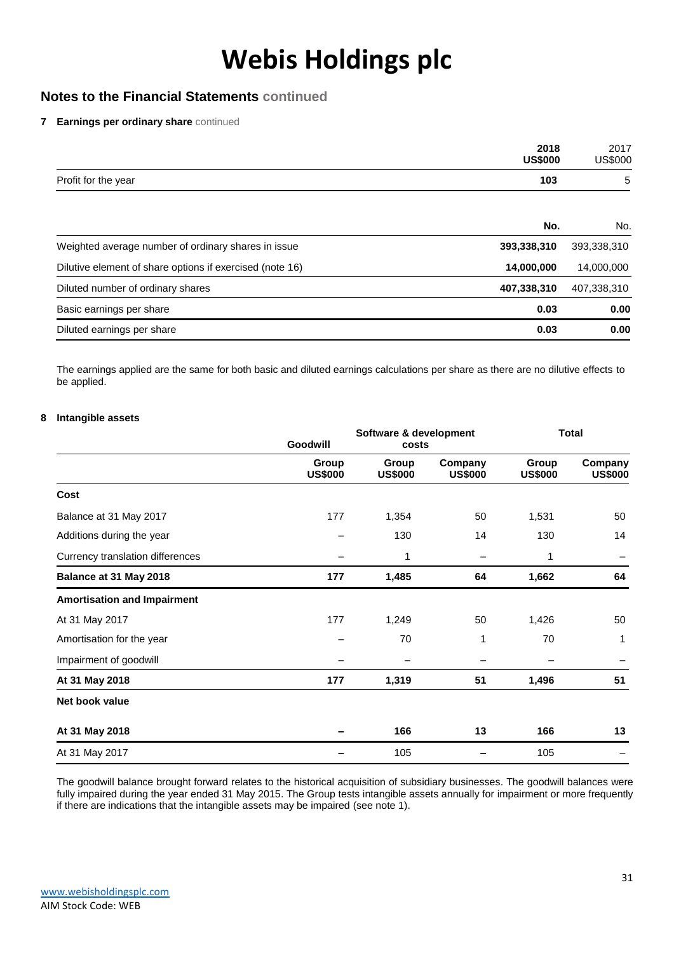### **Notes to the Financial Statements continued**

**7 Earnings per ordinary share** continued

|                                                          | 2018<br><b>US\$000</b> | 2017<br><b>US\$000</b> |
|----------------------------------------------------------|------------------------|------------------------|
| Profit for the year                                      | 103                    | 5                      |
|                                                          | No.                    | No.                    |
| Weighted average number of ordinary shares in issue      | 393,338,310            | 393,338,310            |
| Dilutive element of share options if exercised (note 16) | 14,000,000             | 14,000,000             |
| Diluted number of ordinary shares                        | 407,338,310            | 407,338,310            |
| Basic earnings per share                                 | 0.03                   | 0.00                   |
| Diluted earnings per share                               | 0.03                   | 0.00                   |

The earnings applied are the same for both basic and diluted earnings calculations per share as there are no dilutive effects to be applied.

#### **8 Intangible assets**

|                                    | Software & development<br>Goodwill<br>costs |                         | <b>Total</b>              |                         |                           |
|------------------------------------|---------------------------------------------|-------------------------|---------------------------|-------------------------|---------------------------|
|                                    | Group<br><b>US\$000</b>                     | Group<br><b>US\$000</b> | Company<br><b>US\$000</b> | Group<br><b>US\$000</b> | Company<br><b>US\$000</b> |
| Cost                               |                                             |                         |                           |                         |                           |
| Balance at 31 May 2017             | 177                                         | 1,354                   | 50                        | 1,531                   | 50                        |
| Additions during the year          |                                             | 130                     | 14                        | 130                     | 14                        |
| Currency translation differences   |                                             | 1                       |                           | 1                       |                           |
| Balance at 31 May 2018             | 177                                         | 1,485                   | 64                        | 1,662                   | 64                        |
| <b>Amortisation and Impairment</b> |                                             |                         |                           |                         |                           |
| At 31 May 2017                     | 177                                         | 1,249                   | 50                        | 1,426                   | 50                        |
| Amortisation for the year          |                                             | 70                      | 1                         | 70                      | 1                         |
| Impairment of goodwill             |                                             |                         |                           |                         |                           |
| At 31 May 2018                     | 177                                         | 1,319                   | 51                        | 1,496                   | 51                        |
| Net book value                     |                                             |                         |                           |                         |                           |
| At 31 May 2018                     |                                             | 166                     | 13                        | 166                     | 13                        |
| At 31 May 2017                     |                                             | 105                     |                           | 105                     |                           |

The goodwill balance brought forward relates to the historical acquisition of subsidiary businesses. The goodwill balances were fully impaired during the year ended 31 May 2015. The Group tests intangible assets annually for impairment or more frequently if there are indications that the intangible assets may be impaired (see note 1).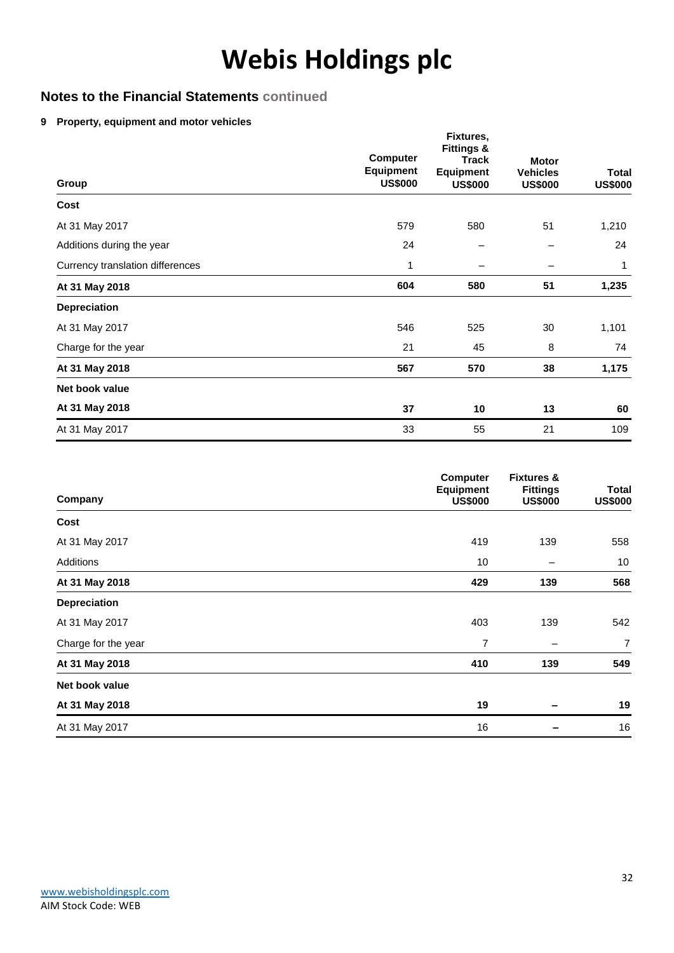### **Notes to the Financial Statements continued**

#### **9 Property, equipment and motor vehicles**

| Group                            | <b>Computer</b><br><b>Equipment</b><br><b>US\$000</b> | Fixtures,<br><b>Fittings &amp;</b><br><b>Track</b><br><b>Equipment</b><br><b>US\$000</b> | <b>Motor</b><br><b>Vehicles</b><br><b>US\$000</b> | <b>Total</b><br><b>US\$000</b> |
|----------------------------------|-------------------------------------------------------|------------------------------------------------------------------------------------------|---------------------------------------------------|--------------------------------|
| Cost                             |                                                       |                                                                                          |                                                   |                                |
| At 31 May 2017                   | 579                                                   | 580                                                                                      | 51                                                | 1,210                          |
| Additions during the year        | 24                                                    |                                                                                          |                                                   | 24                             |
| Currency translation differences | 1                                                     | —                                                                                        |                                                   | 1                              |
| At 31 May 2018                   | 604                                                   | 580                                                                                      | 51                                                | 1,235                          |
| Depreciation                     |                                                       |                                                                                          |                                                   |                                |
| At 31 May 2017                   | 546                                                   | 525                                                                                      | 30                                                | 1,101                          |
| Charge for the year              | 21                                                    | 45                                                                                       | 8                                                 | 74                             |
| At 31 May 2018                   | 567                                                   | 570                                                                                      | 38                                                | 1,175                          |
| Net book value                   |                                                       |                                                                                          |                                                   |                                |
| At 31 May 2018                   | 37                                                    | 10                                                                                       | 13                                                | 60                             |
| At 31 May 2017                   | 33                                                    | 55                                                                                       | 21                                                | 109                            |

| Company             | <b>Computer</b><br><b>Equipment</b><br><b>US\$000</b> | <b>Fixtures &amp;</b><br><b>Fittings</b><br><b>US\$000</b> | <b>Total</b><br><b>US\$000</b> |
|---------------------|-------------------------------------------------------|------------------------------------------------------------|--------------------------------|
| Cost                |                                                       |                                                            |                                |
| At 31 May 2017      | 419                                                   | 139                                                        | 558                            |
| Additions           | 10                                                    |                                                            | 10                             |
| At 31 May 2018      | 429                                                   | 139                                                        | 568                            |
| Depreciation        |                                                       |                                                            |                                |
| At 31 May 2017      | 403                                                   | 139                                                        | 542                            |
| Charge for the year | $\overline{7}$                                        |                                                            | $\overline{7}$                 |
| At 31 May 2018      | 410                                                   | 139                                                        | 549                            |
| Net book value      |                                                       |                                                            |                                |
| At 31 May 2018      | 19                                                    |                                                            | 19                             |
| At 31 May 2017      | 16                                                    |                                                            | 16                             |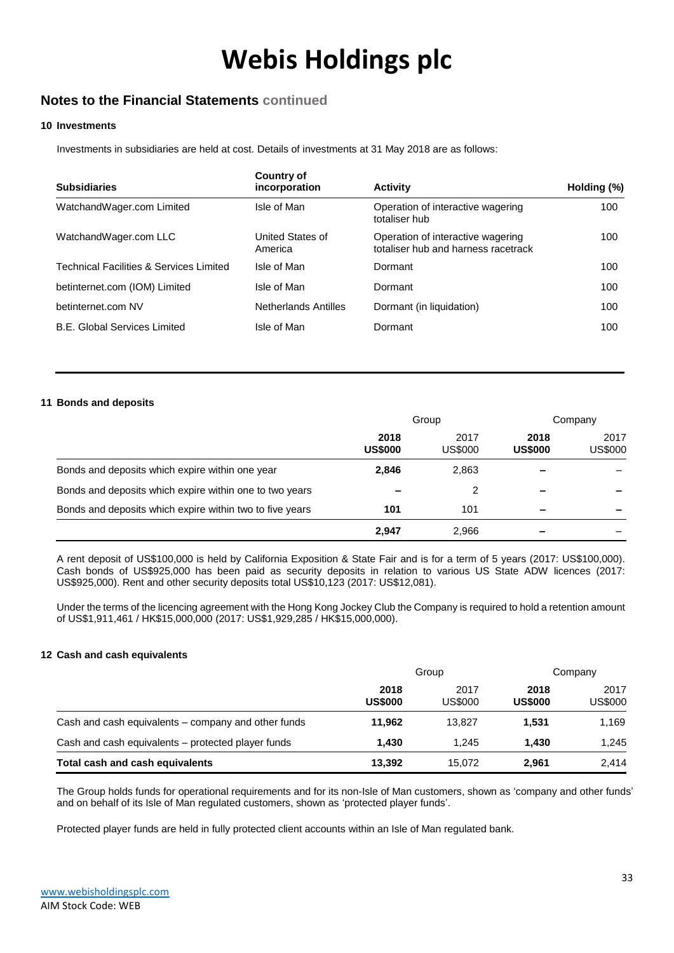### **Notes to the Financial Statements continued**

#### **10 Investments**

Investments in subsidiaries are held at cost. Details of investments at 31 May 2018 are as follows:

| <b>Subsidiaries</b>                     | Country of<br>incorporation | <b>Activity</b>                                                          | Holding (%) |
|-----------------------------------------|-----------------------------|--------------------------------------------------------------------------|-------------|
| WatchandWager.com Limited               | Isle of Man                 | Operation of interactive wagering<br>totaliser hub                       | 100         |
| WatchandWager.com LLC                   | United States of<br>America | Operation of interactive wagering<br>totaliser hub and harness racetrack | 100         |
| Technical Facilities & Services Limited | Isle of Man                 | Dormant                                                                  | 100         |
| betinternet.com (IOM) Limited           | Isle of Man                 | Dormant                                                                  | 100         |
| betinternet.com NV                      | <b>Netherlands Antilles</b> | Dormant (in liquidation)                                                 | 100         |
| <b>B.E. Global Services Limited</b>     | Isle of Man                 | Dormant                                                                  | 100         |

#### **11 Bonds and deposits**

|                                                          | Group                  |                 | Company                |                 |
|----------------------------------------------------------|------------------------|-----------------|------------------------|-----------------|
|                                                          | 2018<br><b>US\$000</b> | 2017<br>US\$000 | 2018<br><b>US\$000</b> | 2017<br>US\$000 |
| Bonds and deposits which expire within one year          | 2,846                  | 2,863           |                        |                 |
| Bonds and deposits which expire within one to two years  |                        | 2               |                        |                 |
| Bonds and deposits which expire within two to five years | 101                    | 101             |                        |                 |
|                                                          | 2.947                  | 2,966           |                        |                 |

A rent deposit of US\$100,000 is held by California Exposition & State Fair and is for a term of 5 years (2017: US\$100,000). Cash bonds of US\$925,000 has been paid as security deposits in relation to various US State ADW licences (2017: US\$925,000). Rent and other security deposits total US\$10,123 (2017: US\$12,081).

Under the terms of the licencing agreement with the Hong Kong Jockey Club the Company is required to hold a retention amount of US\$1,911,461 / HK\$15,000,000 (2017: US\$1,929,285 / HK\$15,000,000).

#### **12 Cash and cash equivalents**

|                                                     | Group                  |                 | Company                |                        |
|-----------------------------------------------------|------------------------|-----------------|------------------------|------------------------|
|                                                     | 2018<br><b>US\$000</b> | 2017<br>US\$000 | 2018<br><b>US\$000</b> | 2017<br><b>US\$000</b> |
| Cash and cash equivalents – company and other funds | 11.962                 | 13.827          | 1.531                  | 1,169                  |
| Cash and cash equivalents – protected player funds  | 1.430                  | 1.245           | 1.430                  | 1,245                  |
| Total cash and cash equivalents                     | 13,392                 | 15.072          | 2,961                  | 2,414                  |

The Group holds funds for operational requirements and for its non-Isle of Man customers, shown as 'company and other funds' and on behalf of its Isle of Man regulated customers, shown as 'protected player funds'.

Protected player funds are held in fully protected client accounts within an Isle of Man regulated bank.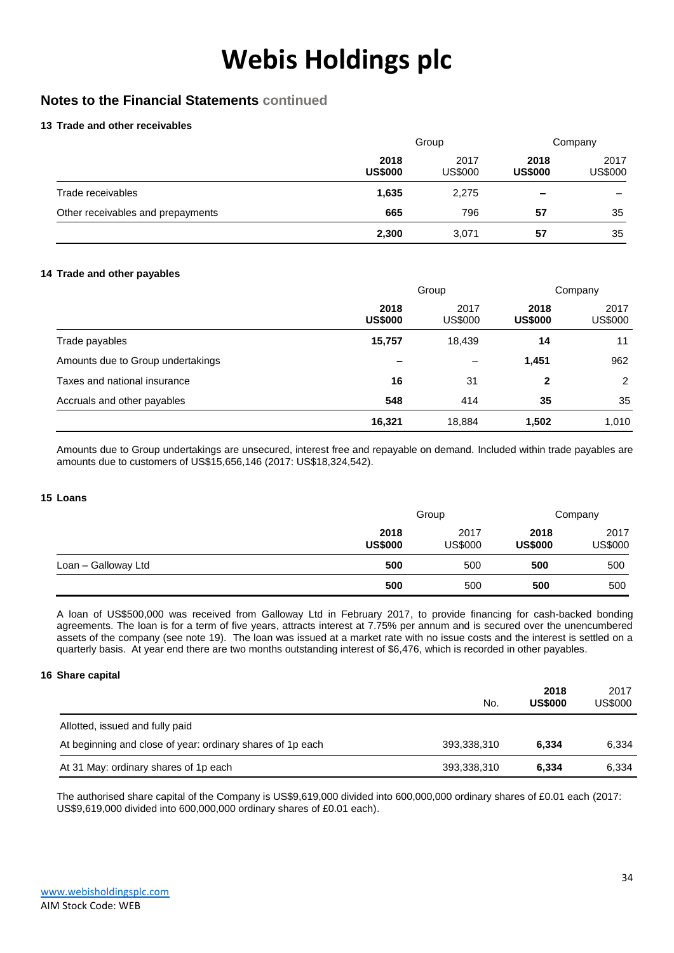### **Notes to the Financial Statements continued**

#### **13 Trade and other receivables**

|                                   | Group                  |                 |                          | Company                |  |
|-----------------------------------|------------------------|-----------------|--------------------------|------------------------|--|
|                                   | 2018<br><b>US\$000</b> | 2017<br>US\$000 | 2018<br><b>US\$000</b>   | 2017<br><b>US\$000</b> |  |
| Trade receivables                 | 1,635                  | 2,275           | $\overline{\phantom{a}}$ |                        |  |
| Other receivables and prepayments | 665                    | 796             | 57                       | 35                     |  |
|                                   | 2,300                  | 3,071           | 57                       | 35                     |  |

#### **14 Trade and other payables**

|                                   | Group                  |                 | Company                |                        |
|-----------------------------------|------------------------|-----------------|------------------------|------------------------|
|                                   | 2018<br><b>US\$000</b> | 2017<br>US\$000 | 2018<br><b>US\$000</b> | 2017<br><b>US\$000</b> |
| Trade payables                    | 15,757                 | 18,439          | 14                     | 11                     |
| Amounts due to Group undertakings |                        |                 | 1,451                  | 962                    |
| Taxes and national insurance      | 16                     | 31              | $\mathbf{2}$           | 2                      |
| Accruals and other payables       | 548                    | 414             | 35                     | 35                     |
|                                   | 16,321                 | 18,884          | 1,502                  | 1,010                  |

Amounts due to Group undertakings are unsecured, interest free and repayable on demand. Included within trade payables are amounts due to customers of US\$15,656,146 (2017: US\$18,324,542).

#### **15 Loans**

|                     |                        | Group                  |                        | Company         |  |
|---------------------|------------------------|------------------------|------------------------|-----------------|--|
|                     | 2018<br><b>US\$000</b> | 2017<br><b>US\$000</b> | 2018<br><b>US\$000</b> | 2017<br>US\$000 |  |
| Loan - Galloway Ltd | 500                    | 500                    | 500                    | 500             |  |
|                     | 500                    | 500                    | 500                    | 500             |  |

A loan of US\$500,000 was received from Galloway Ltd in February 2017, to provide financing for cash-backed bonding agreements. The loan is for a term of five years, attracts interest at 7.75% per annum and is secured over the unencumbered assets of the company (see note 19). The loan was issued at a market rate with no issue costs and the interest is settled on a quarterly basis. At year end there are two months outstanding interest of \$6,476, which is recorded in other payables.

#### **16 Share capital**

|                                                            | No.         | 2018<br><b>US\$000</b> | 2017<br>US\$000 |
|------------------------------------------------------------|-------------|------------------------|-----------------|
| Allotted, issued and fully paid                            |             |                        |                 |
| At beginning and close of year: ordinary shares of 1p each | 393,338,310 | 6,334                  | 6,334           |
| At 31 May: ordinary shares of 1p each                      | 393,338,310 | 6,334                  | 6,334           |

The authorised share capital of the Company is US\$9,619,000 divided into 600,000,000 ordinary shares of £0.01 each (2017: US\$9,619,000 divided into 600,000,000 ordinary shares of £0.01 each).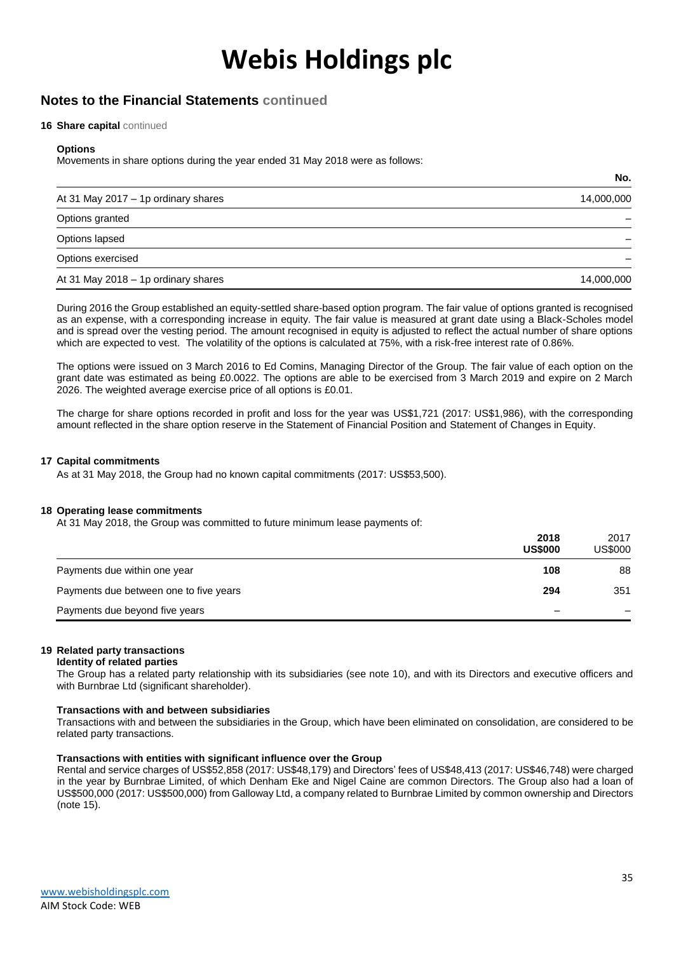### **Notes to the Financial Statements continued**

#### **16 Share capital** continued

#### **Options**

Movements in share options during the year ended 31 May 2018 were as follows:

| At 31 May 2017 - 1p ordinary shares | 14,000,000 |
|-------------------------------------|------------|
| Options granted                     |            |
| Options lapsed                      |            |
| Options exercised                   |            |
| At 31 May 2018 - 1p ordinary shares | 14,000,000 |

During 2016 the Group established an equity-settled share-based option program. The fair value of options granted is recognised as an expense, with a corresponding increase in equity. The fair value is measured at grant date using a Black-Scholes model and is spread over the vesting period. The amount recognised in equity is adjusted to reflect the actual number of share options which are expected to vest. The volatility of the options is calculated at 75%, with a risk-free interest rate of 0.86%.

The options were issued on 3 March 2016 to Ed Comins, Managing Director of the Group. The fair value of each option on the grant date was estimated as being £0.0022. The options are able to be exercised from 3 March 2019 and expire on 2 March 2026. The weighted average exercise price of all options is £0.01.

The charge for share options recorded in profit and loss for the year was US\$1,721 (2017: US\$1,986), with the corresponding amount reflected in the share option reserve in the Statement of Financial Position and Statement of Changes in Equity.

#### **17 Capital commitments**

As at 31 May 2018, the Group had no known capital commitments (2017: US\$53,500).

#### **18 Operating lease commitments**

At 31 May 2018, the Group was committed to future minimum lease payments of:

|                                        | 2018<br><b>US\$000</b> | 2017<br>US\$000 |
|----------------------------------------|------------------------|-----------------|
| Payments due within one year           | 108                    | 88              |
| Payments due between one to five years | 294                    | 351             |
| Payments due beyond five years         |                        |                 |

#### **19 Related party transactions**

**Identity of related parties**

The Group has a related party relationship with its subsidiaries (see note 10), and with its Directors and executive officers and with Burnbrae Ltd (significant shareholder).

#### **Transactions with and between subsidiaries**

Transactions with and between the subsidiaries in the Group, which have been eliminated on consolidation, are considered to be related party transactions.

#### **Transactions with entities with significant influence over the Group**

Rental and service charges of US\$52,858 (2017: US\$48,179) and Directors' fees of US\$48,413 (2017: US\$46,748) were charged in the year by Burnbrae Limited, of which Denham Eke and Nigel Caine are common Directors. The Group also had a loan of US\$500,000 (2017: US\$500,000) from Galloway Ltd, a company related to Burnbrae Limited by common ownership and Directors (note 15).

**No.**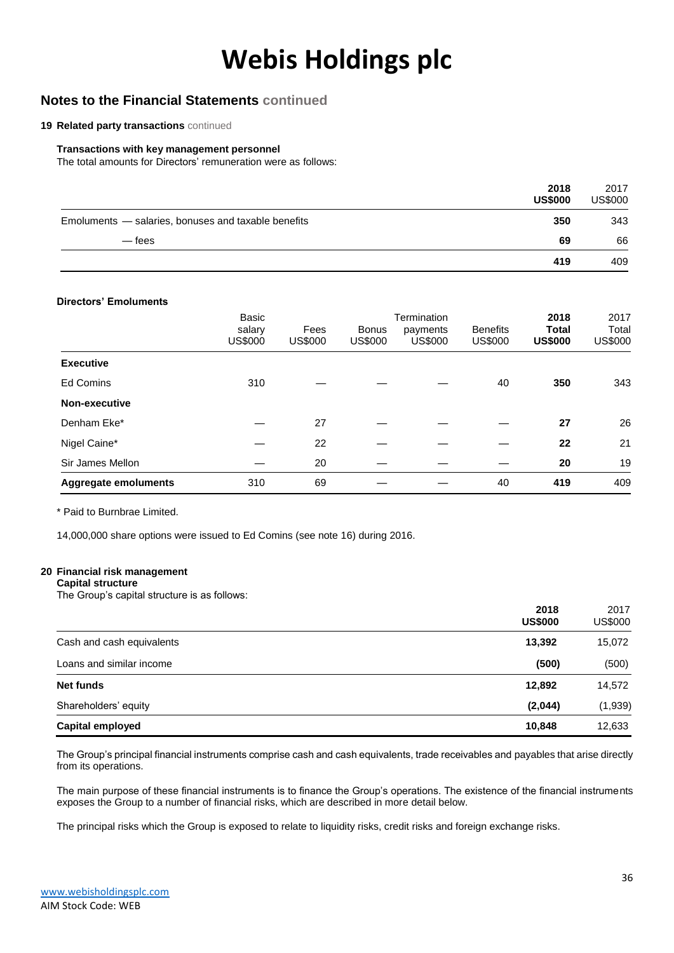### **Notes to the Financial Statements continued**

#### **19 Related party transactions** continued

#### **Transactions with key management personnel**

The total amounts for Directors' remuneration were as follows:

|                                                     | 2018<br><b>US\$000</b> | 2017<br><b>US\$000</b> |
|-----------------------------------------------------|------------------------|------------------------|
| Emoluments - salaries, bonuses and taxable benefits | 350                    | 343                    |
| — fees                                              | 69                     | 66                     |
|                                                     | 419                    | 409                    |

#### **Directors' Emoluments**

|                      | Basic<br>salary<br>US\$000 | Fees<br><b>US\$000</b> | <b>Bonus</b><br>US\$000 | Termination<br>payments<br><b>US\$000</b> | <b>Benefits</b><br><b>US\$000</b> | 2018<br><b>Total</b><br><b>US\$000</b> | 2017<br>Total<br><b>US\$000</b> |
|----------------------|----------------------------|------------------------|-------------------------|-------------------------------------------|-----------------------------------|----------------------------------------|---------------------------------|
| <b>Executive</b>     |                            |                        |                         |                                           |                                   |                                        |                                 |
| <b>Ed Comins</b>     | 310                        |                        |                         |                                           | 40                                | 350                                    | 343                             |
| Non-executive        |                            |                        |                         |                                           |                                   |                                        |                                 |
| Denham Eke*          |                            | 27                     |                         |                                           |                                   | 27                                     | 26                              |
| Nigel Caine*         |                            | 22                     |                         |                                           |                                   | 22                                     | 21                              |
| Sir James Mellon     |                            | 20                     |                         |                                           |                                   | 20                                     | 19                              |
| Aggregate emoluments | 310                        | 69                     |                         |                                           | 40                                | 419                                    | 409                             |

\* Paid to Burnbrae Limited.

14,000,000 share options were issued to Ed Comins (see note 16) during 2016.

#### **20 Financial risk management**

#### **Capital structure**

The Group's capital structure is as follows:

|                           | 2018<br><b>US\$000</b> | 2017<br>US\$000 |
|---------------------------|------------------------|-----------------|
| Cash and cash equivalents | 13,392                 | 15,072          |
| Loans and similar income  | (500)                  | (500)           |
| Net funds                 | 12,892                 | 14,572          |
| Shareholders' equity      | (2,044)                | (1,939)         |
| <b>Capital employed</b>   | 10,848                 | 12,633          |

The Group's principal financial instruments comprise cash and cash equivalents, trade receivables and payables that arise directly from its operations.

The main purpose of these financial instruments is to finance the Group's operations. The existence of the financial instruments exposes the Group to a number of financial risks, which are described in more detail below.

The principal risks which the Group is exposed to relate to liquidity risks, credit risks and foreign exchange risks.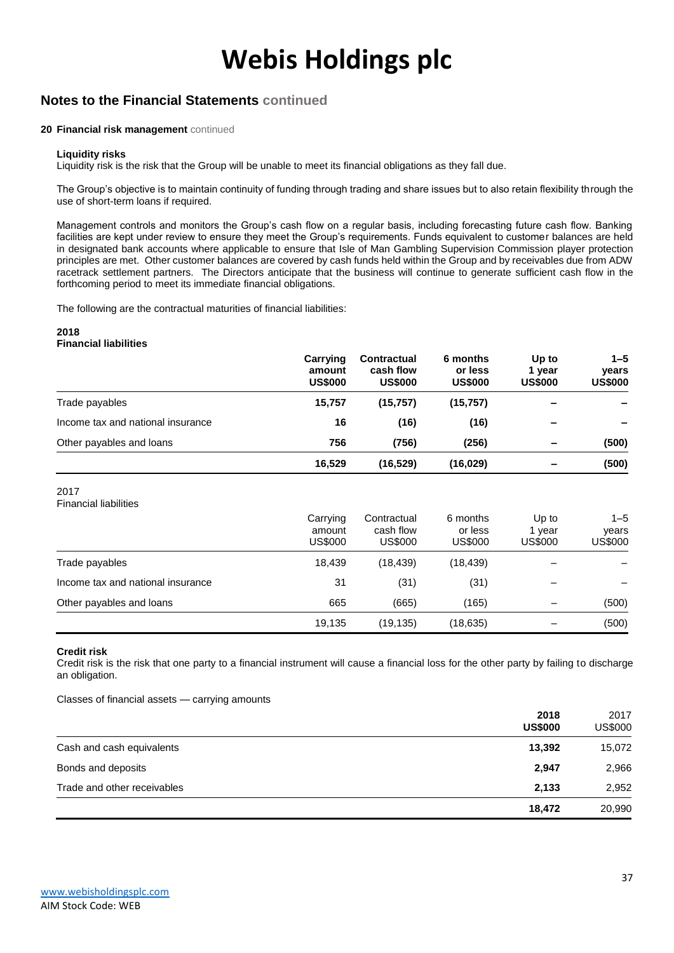### **Notes to the Financial Statements continued**

#### **20 Financial risk management** continued

#### **Liquidity risks**

Liquidity risk is the risk that the Group will be unable to meet its financial obligations as they fall due.

The Group's objective is to maintain continuity of funding through trading and share issues but to also retain flexibility through the use of short-term loans if required.

Management controls and monitors the Group's cash flow on a regular basis, including forecasting future cash flow. Banking facilities are kept under review to ensure they meet the Group's requirements. Funds equivalent to customer balances are held in designated bank accounts where applicable to ensure that Isle of Man Gambling Supervision Commission player protection principles are met. Other customer balances are covered by cash funds held within the Group and by receivables due from ADW racetrack settlement partners. The Directors anticipate that the business will continue to generate sufficient cash flow in the forthcoming period to meet its immediate financial obligations.

The following are the contractual maturities of financial liabilities:

#### **2018 Financial liabilities**

|                                   | Carrying<br>amount<br><b>US\$000</b> | <b>Contractual</b><br>cash flow<br><b>US\$000</b> | 6 months<br>or less<br><b>US\$000</b> | Up to<br>vear<br><b>US\$000</b> | $1 - 5$<br>years<br><b>US\$000</b> |
|-----------------------------------|--------------------------------------|---------------------------------------------------|---------------------------------------|---------------------------------|------------------------------------|
| Trade payables                    | 15,757                               | (15, 757)                                         | (15, 757)                             |                                 |                                    |
| Income tax and national insurance | 16                                   | (16)                                              | (16)                                  | -                               |                                    |
| Other payables and loans          | 756                                  | (756)                                             | (256)                                 | $\overline{\phantom{0}}$        | (500)                              |
|                                   | 16,529                               | (16, 529)                                         | (16, 029)                             | $\overline{\phantom{0}}$        | (500)                              |

2017

Financial liabilities

|                                   | Carrying<br>amount<br>US\$000 | Contractual<br>cash flow<br><b>US\$000</b> | 6 months<br>or less<br><b>US\$000</b> | Up to<br>1 vear<br>US\$000 | $1 - 5$<br>years<br><b>US\$000</b> |
|-----------------------------------|-------------------------------|--------------------------------------------|---------------------------------------|----------------------------|------------------------------------|
| Trade payables                    | 18.439                        | (18,439)                                   | (18,439)                              |                            |                                    |
| Income tax and national insurance | 31                            | (31)                                       | (31)                                  |                            |                                    |
| Other payables and loans          | 665                           | (665)                                      | (165)                                 |                            | (500)                              |
|                                   | 19,135                        | (19, 135)                                  | (18,635)                              |                            | (500)                              |

#### **Credit risk**

Credit risk is the risk that one party to a financial instrument will cause a financial loss for the other party by failing to discharge an obligation.

Classes of financial assets — carrying amounts

|                             | 2018<br><b>US\$000</b> | 2017<br><b>US\$000</b> |
|-----------------------------|------------------------|------------------------|
| Cash and cash equivalents   | 13,392                 | 15,072                 |
| Bonds and deposits          | 2,947                  | 2,966                  |
| Trade and other receivables | 2,133                  | 2,952                  |
|                             | 18,472                 | 20,990                 |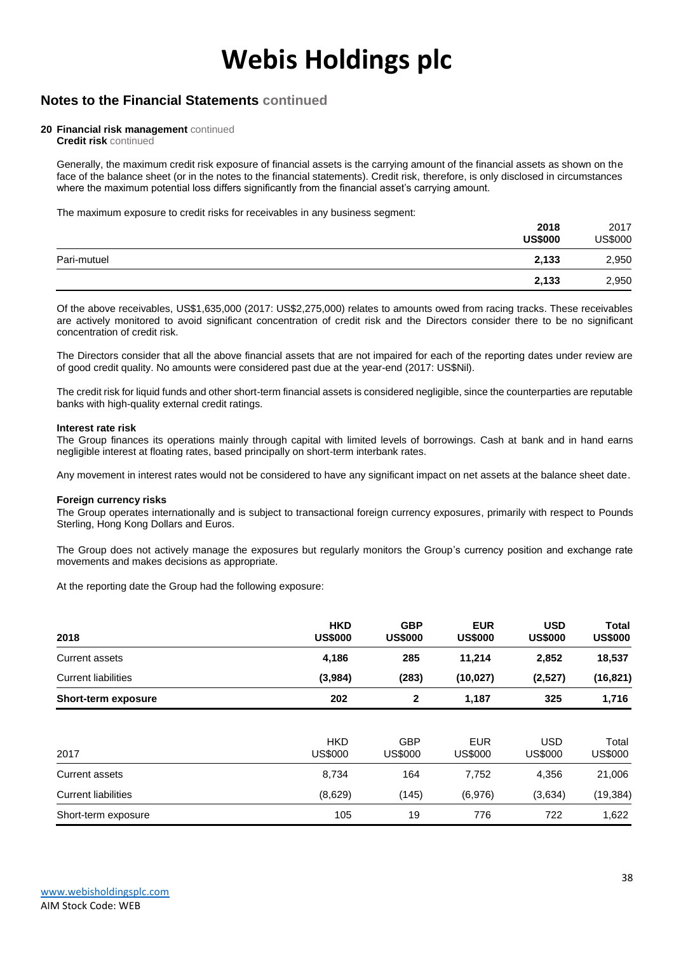### **Notes to the Financial Statements continued**

#### **20 Financial risk management** continued

**Credit risk** continued

Generally, the maximum credit risk exposure of financial assets is the carrying amount of the financial assets as shown on the face of the balance sheet (or in the notes to the financial statements). Credit risk, therefore, is only disclosed in circumstances where the maximum potential loss differs significantly from the financial asset's carrying amount.

The maximum exposure to credit risks for receivables in any business segment:

|             | 2018<br><b>US\$000</b> | 2017<br><b>US\$000</b> |
|-------------|------------------------|------------------------|
| Pari-mutuel | 2,133                  | 2,950                  |
|             | 2,133                  | 2,950                  |

Of the above receivables, US\$1,635,000 (2017: US\$2,275,000) relates to amounts owed from racing tracks. These receivables are actively monitored to avoid significant concentration of credit risk and the Directors consider there to be no significant concentration of credit risk.

The Directors consider that all the above financial assets that are not impaired for each of the reporting dates under review are of good credit quality. No amounts were considered past due at the year-end (2017: US\$Nil).

The credit risk for liquid funds and other short-term financial assets is considered negligible, since the counterparties are reputable banks with high-quality external credit ratings.

#### **Interest rate risk**

The Group finances its operations mainly through capital with limited levels of borrowings. Cash at bank and in hand earns negligible interest at floating rates, based principally on short-term interbank rates.

Any movement in interest rates would not be considered to have any significant impact on net assets at the balance sheet date.

#### **Foreign currency risks**

The Group operates internationally and is subject to transactional foreign currency exposures, primarily with respect to Pounds Sterling, Hong Kong Dollars and Euros.

The Group does not actively manage the exposures but regularly monitors the Group's currency position and exchange rate movements and makes decisions as appropriate.

At the reporting date the Group had the following exposure:

| 2018                       | <b>HKD</b><br><b>US\$000</b> | <b>GBP</b><br><b>US\$000</b> | <b>EUR</b><br><b>US\$000</b> | <b>USD</b><br><b>US\$000</b> | <b>Total</b><br><b>US\$000</b> |
|----------------------------|------------------------------|------------------------------|------------------------------|------------------------------|--------------------------------|
| <b>Current assets</b>      | 4,186                        | 285                          | 11,214                       | 2,852                        | 18,537                         |
| <b>Current liabilities</b> | (3,984)                      | (283)                        | (10, 027)                    | (2,527)                      | (16, 821)                      |
| <b>Short-term exposure</b> | 202                          | 2                            | 1,187                        | 325                          | 1,716                          |
|                            |                              |                              |                              |                              |                                |
| 2017                       | <b>HKD</b><br><b>US\$000</b> | <b>GBP</b><br><b>US\$000</b> | <b>EUR</b><br><b>US\$000</b> | <b>USD</b><br><b>US\$000</b> | Total<br><b>US\$000</b>        |
| <b>Current assets</b>      | 8,734                        | 164                          | 7,752                        | 4,356                        | 21,006                         |
| <b>Current liabilities</b> | (8,629)                      | (145)                        | (6,976)                      | (3,634)                      | (19, 384)                      |
| Short-term exposure        | 105                          | 19                           | 776                          | 722                          | 1,622                          |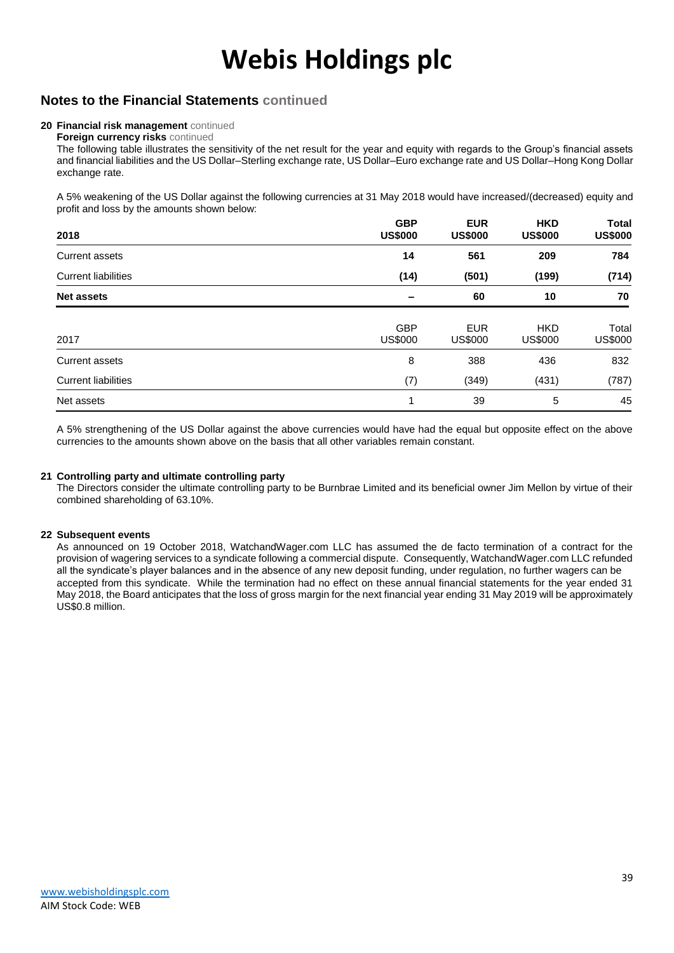### **Notes to the Financial Statements continued**

#### **20 Financial risk management** continued

**Foreign currency risks** continued

The following table illustrates the sensitivity of the net result for the year and equity with regards to the Group's financial assets and financial liabilities and the US Dollar–Sterling exchange rate, US Dollar–Euro exchange rate and US Dollar–Hong Kong Dollar exchange rate.

A 5% weakening of the US Dollar against the following currencies at 31 May 2018 would have increased/(decreased) equity and profit and loss by the amounts shown below:

| 2018                       | <b>GBP</b><br><b>US\$000</b> | <b>EUR</b><br><b>US\$000</b> | <b>HKD</b><br><b>US\$000</b> | <b>Total</b><br><b>US\$000</b> |
|----------------------------|------------------------------|------------------------------|------------------------------|--------------------------------|
| <b>Current assets</b>      | 14                           | 561                          | 209                          | 784                            |
| <b>Current liabilities</b> | (14)                         | (501)                        | (199)                        | (714)                          |
| <b>Net assets</b>          | $\overline{\phantom{0}}$     | 60                           | 10                           | 70                             |
| 2017                       | <b>GBP</b><br>US\$000        | <b>EUR</b><br><b>US\$000</b> | <b>HKD</b><br><b>US\$000</b> | Total<br><b>US\$000</b>        |
| <b>Current assets</b>      | 8                            | 388                          | 436                          | 832                            |
| <b>Current liabilities</b> | (7)                          | (349)                        | (431)                        | (787)                          |
| Net assets                 | 1                            | 39                           | 5                            | 45                             |

A 5% strengthening of the US Dollar against the above currencies would have had the equal but opposite effect on the above currencies to the amounts shown above on the basis that all other variables remain constant.

#### **21 Controlling party and ultimate controlling party**

The Directors consider the ultimate controlling party to be Burnbrae Limited and its beneficial owner Jim Mellon by virtue of their combined shareholding of 63.10%.

#### **22 Subsequent events**

As announced on 19 October 2018, WatchandWager.com LLC has assumed the de facto termination of a contract for the provision of wagering services to a syndicate following a commercial dispute. Consequently, WatchandWager.com LLC refunded all the syndicate's player balances and in the absence of any new deposit funding, under regulation, no further wagers can be accepted from this syndicate. While the termination had no effect on these annual financial statements for the year ended 31 May 2018, the Board anticipates that the loss of gross margin for the next financial year ending 31 May 2019 will be approximately US\$0.8 million.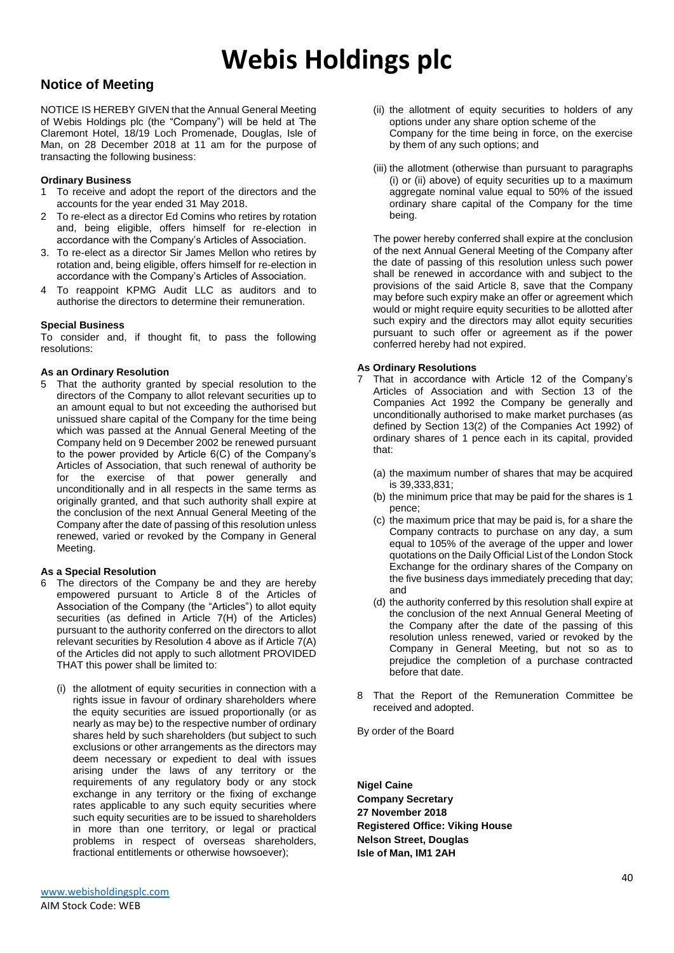### **Notice of Meeting**

NOTICE IS HEREBY GIVEN that the Annual General Meeting of Webis Holdings plc (the "Company") will be held at The Claremont Hotel, 18/19 Loch Promenade, Douglas, Isle of Man, on 28 December 2018 at 11 am for the purpose of transacting the following business:

#### **Ordinary Business**

- 1 To receive and adopt the report of the directors and the accounts for the year ended 31 May 2018.
- 2 To re-elect as a director Ed Comins who retires by rotation and, being eligible, offers himself for re-election in accordance with the Company's Articles of Association.
- 3. To re-elect as a director Sir James Mellon who retires by rotation and, being eligible, offers himself for re-election in accordance with the Company's Articles of Association.
- 4 To reappoint KPMG Audit LLC as auditors and to authorise the directors to determine their remuneration.

#### **Special Business**

To consider and, if thought fit, to pass the following resolutions:

#### **As an Ordinary Resolution**

5 That the authority granted by special resolution to the directors of the Company to allot relevant securities up to an amount equal to but not exceeding the authorised but unissued share capital of the Company for the time being which was passed at the Annual General Meeting of the Company held on 9 December 2002 be renewed pursuant to the power provided by Article 6(C) of the Company's Articles of Association, that such renewal of authority be for the exercise of that power generally and unconditionally and in all respects in the same terms as originally granted, and that such authority shall expire at the conclusion of the next Annual General Meeting of the Company after the date of passing of this resolution unless renewed, varied or revoked by the Company in General Meeting.

#### **As a Special Resolution**

- 6 The directors of the Company be and they are hereby empowered pursuant to Article 8 of the Articles of Association of the Company (the "Articles") to allot equity securities (as defined in Article 7(H) of the Articles) pursuant to the authority conferred on the directors to allot relevant securities by Resolution 4 above as if Article 7(A) of the Articles did not apply to such allotment PROVIDED THAT this power shall be limited to:
	- (i) the allotment of equity securities in connection with a rights issue in favour of ordinary shareholders where the equity securities are issued proportionally (or as nearly as may be) to the respective number of ordinary shares held by such shareholders (but subject to such exclusions or other arrangements as the directors may deem necessary or expedient to deal with issues arising under the laws of any territory or the requirements of any regulatory body or any stock exchange in any territory or the fixing of exchange rates applicable to any such equity securities where such equity securities are to be issued to shareholders in more than one territory, or legal or practical problems in respect of overseas shareholders, fractional entitlements or otherwise howsoever);
- (ii) the allotment of equity securities to holders of any options under any share option scheme of the Company for the time being in force, on the exercise by them of any such options; and
- (iii) the allotment (otherwise than pursuant to paragraphs (i) or (ii) above) of equity securities up to a maximum aggregate nominal value equal to 50% of the issued ordinary share capital of the Company for the time being.

The power hereby conferred shall expire at the conclusion of the next Annual General Meeting of the Company after the date of passing of this resolution unless such power shall be renewed in accordance with and subject to the provisions of the said Article 8, save that the Company may before such expiry make an offer or agreement which would or might require equity securities to be allotted after such expiry and the directors may allot equity securities pursuant to such offer or agreement as if the power conferred hereby had not expired.

#### **As Ordinary Resolutions**

- 7 That in accordance with Article 12 of the Company's Articles of Association and with Section 13 of the Companies Act 1992 the Company be generally and unconditionally authorised to make market purchases (as defined by Section 13(2) of the Companies Act 1992) of ordinary shares of 1 pence each in its capital, provided that:
	- (a) the maximum number of shares that may be acquired is 39,333,831;
	- (b) the minimum price that may be paid for the shares is 1 pence;
	- (c) the maximum price that may be paid is, for a share the Company contracts to purchase on any day, a sum equal to 105% of the average of the upper and lower quotations on the Daily Official List of the London Stock Exchange for the ordinary shares of the Company on the five business days immediately preceding that day; and
	- (d) the authority conferred by this resolution shall expire at the conclusion of the next Annual General Meeting of the Company after the date of the passing of this resolution unless renewed, varied or revoked by the Company in General Meeting, but not so as to prejudice the completion of a purchase contracted before that date.
- 8 That the Report of the Remuneration Committee be received and adopted.

By order of the Board

**Nigel Caine Company Secretary 27 November 2018 Registered Office: Viking House Nelson Street, Douglas Isle of Man, IM1 2AH**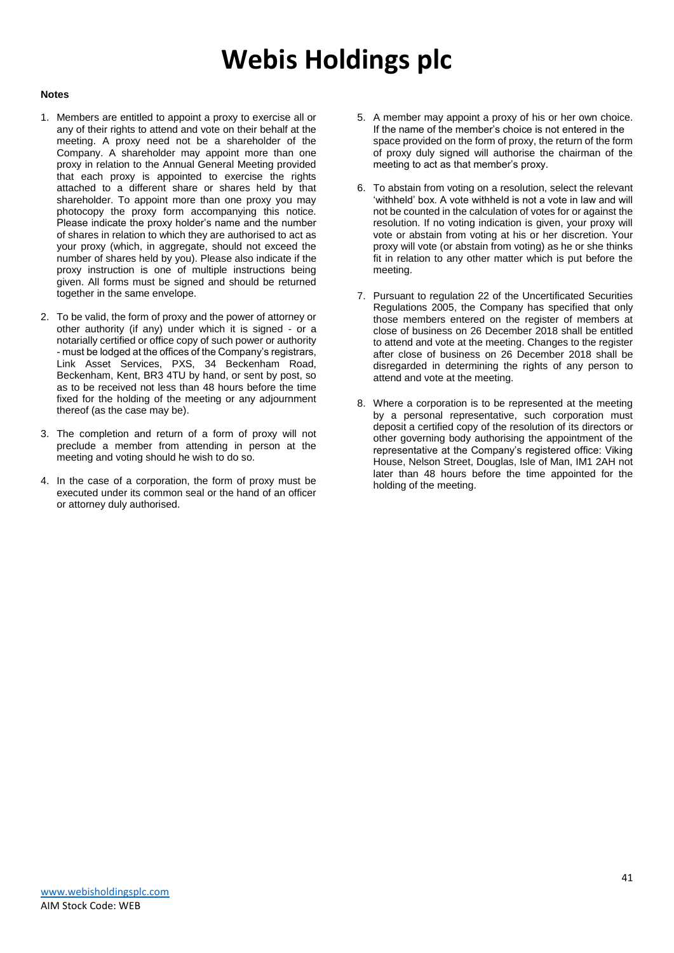#### **Notes**

- 1. Members are entitled to appoint a proxy to exercise all or any of their rights to attend and vote on their behalf at the meeting. A proxy need not be a shareholder of the Company. A shareholder may appoint more than one proxy in relation to the Annual General Meeting provided that each proxy is appointed to exercise the rights attached to a different share or shares held by that shareholder. To appoint more than one proxy you may photocopy the proxy form accompanying this notice. Please indicate the proxy holder's name and the number of shares in relation to which they are authorised to act as your proxy (which, in aggregate, should not exceed the number of shares held by you). Please also indicate if the proxy instruction is one of multiple instructions being given. All forms must be signed and should be returned together in the same envelope.
- 2. To be valid, the form of proxy and the power of attorney or other authority (if any) under which it is signed - or a notarially certified or office copy of such power or authority - must be lodged at the offices of the Company's registrars, Link Asset Services, PXS, 34 Beckenham Road, Beckenham, Kent, BR3 4TU by hand, or sent by post, so as to be received not less than 48 hours before the time fixed for the holding of the meeting or any adjournment thereof (as the case may be).
- 3. The completion and return of a form of proxy will not preclude a member from attending in person at the meeting and voting should he wish to do so.
- 4. In the case of a corporation, the form of proxy must be executed under its common seal or the hand of an officer or attorney duly authorised.
- 5. A member may appoint a proxy of his or her own choice. If the name of the member's choice is not entered in the space provided on the form of proxy, the return of the form of proxy duly signed will authorise the chairman of the meeting to act as that member's proxy.
- 6. To abstain from voting on a resolution, select the relevant 'withheld' box. A vote withheld is not a vote in law and will not be counted in the calculation of votes for or against the resolution. If no voting indication is given, your proxy will vote or abstain from voting at his or her discretion. Your proxy will vote (or abstain from voting) as he or she thinks fit in relation to any other matter which is put before the meeting.
- 7. Pursuant to regulation 22 of the Uncertificated Securities Regulations 2005, the Company has specified that only those members entered on the register of members at close of business on 26 December 2018 shall be entitled to attend and vote at the meeting. Changes to the register after close of business on 26 December 2018 shall be disregarded in determining the rights of any person to attend and vote at the meeting.
- 8. Where a corporation is to be represented at the meeting by a personal representative, such corporation must deposit a certified copy of the resolution of its directors or other governing body authorising the appointment of the representative at the Company's registered office: Viking House, Nelson Street, Douglas, Isle of Man, IM1 2AH not later than 48 hours before the time appointed for the holding of the meeting.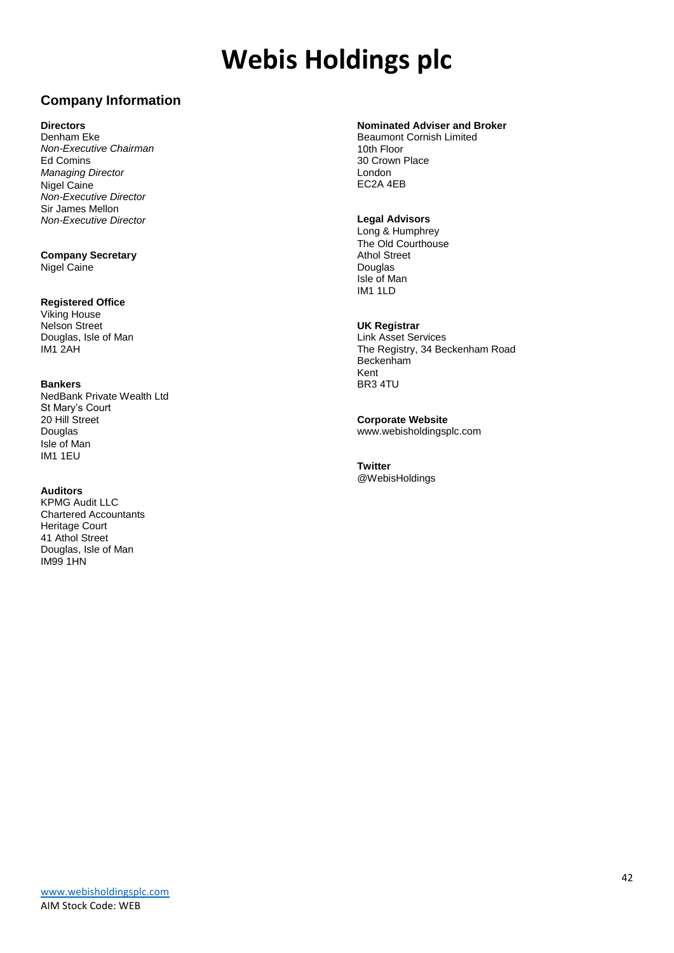### **Company Information**

#### **Directors**

Denham Eke *Non-Executive Chairman* Ed Comins *Managing Director* Nigel Caine *Non-Executive Director* Sir James Mellon *Non-Executive Director*

**Company Secretary** Nigel Caine

#### **Registered Office**

Viking House Nelson Street Douglas, Isle of Man IM1 2AH

#### **Bankers**

NedBank Private Wealth Ltd St Mary's Court 20 Hill Street Douglas Isle of Man IM1 1EU

#### **Auditors**

KPMG Audit LLC Chartered Accountants Heritage Court 41 Athol Street Douglas, Isle of Man IM99 1HN

#### **Nominated Adviser and Broker**

Beaumont Cornish Limited 10th Floor 30 Crown Place London EC2A 4EB

#### **Legal Advisors**

Long & Humphrey The Old Courthouse Athol Street Douglas Isle of Man IM1 1LD

#### **UK Registrar**

Link Asset Services The Registry, 34 Beckenham Road Beckenham Kent BR3 4TU

**Corporate Website** www.webisholdingsplc.com

**Twitter** @WebisHoldings